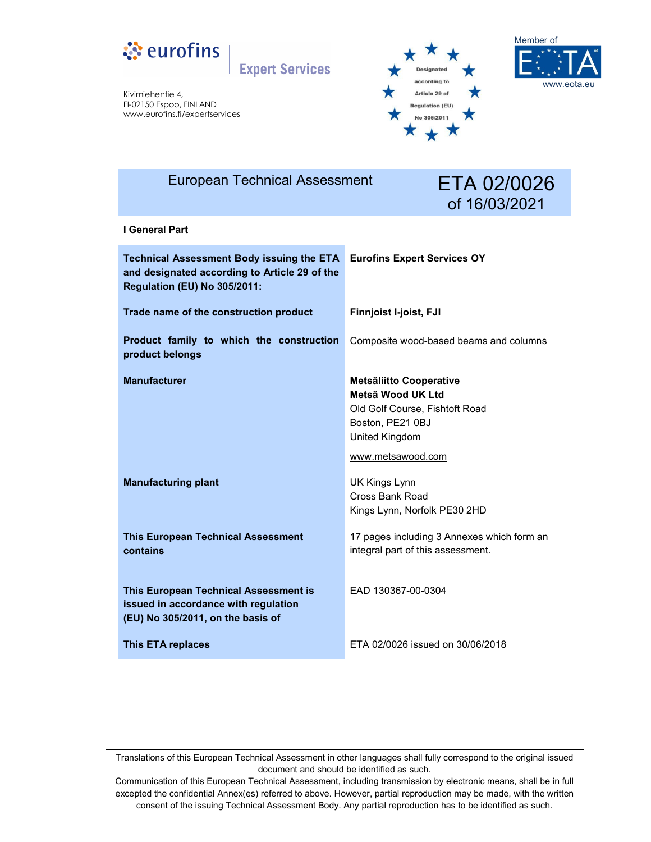

**Expert Services** 

Kivimiehentie 4, FI-02150 Espoo, FINLAND www.eurofins.fi/expertservices





| <b>European Technical Assessment</b>                                                                                                     | ETA 02/0026<br>of 16/03/2021                                                                                                                     |
|------------------------------------------------------------------------------------------------------------------------------------------|--------------------------------------------------------------------------------------------------------------------------------------------------|
| I General Part                                                                                                                           |                                                                                                                                                  |
| <b>Technical Assessment Body issuing the ETA</b><br>and designated according to Article 29 of the<br><b>Regulation (EU) No 305/2011:</b> | <b>Eurofins Expert Services OY</b>                                                                                                               |
| Trade name of the construction product                                                                                                   | <b>Finnjoist I-joist, FJI</b>                                                                                                                    |
| Product family to which the construction<br>product belongs                                                                              | Composite wood-based beams and columns                                                                                                           |
| <b>Manufacturer</b>                                                                                                                      | <b>Metsäliitto Cooperative</b><br>Metsä Wood UK Ltd<br>Old Golf Course, Fishtoft Road<br>Boston, PE21 0BJ<br>United Kingdom<br>www.metsawood.com |
| <b>Manufacturing plant</b>                                                                                                               | UK Kings Lynn<br>Cross Bank Road<br>Kings Lynn, Norfolk PE30 2HD                                                                                 |
| <b>This European Technical Assessment</b><br>contains                                                                                    | 17 pages including 3 Annexes which form an<br>integral part of this assessment.                                                                  |
| This European Technical Assessment is<br>issued in accordance with regulation<br>(EU) No 305/2011, on the basis of                       | EAD 130367-00-0304                                                                                                                               |
| <b>This ETA replaces</b>                                                                                                                 | ETA 02/0026 issued on 30/06/2018                                                                                                                 |

Translations of this European Technical Assessment in other languages shall fully correspond to the original issued document and should be identified as such.

Communication of this European Technical Assessment, including transmission by electronic means, shall be in full excepted the confidential Annex(es) referred to above. However, partial reproduction may be made, with the written consent of the issuing Technical Assessment Body. Any partial reproduction has to be identified as such.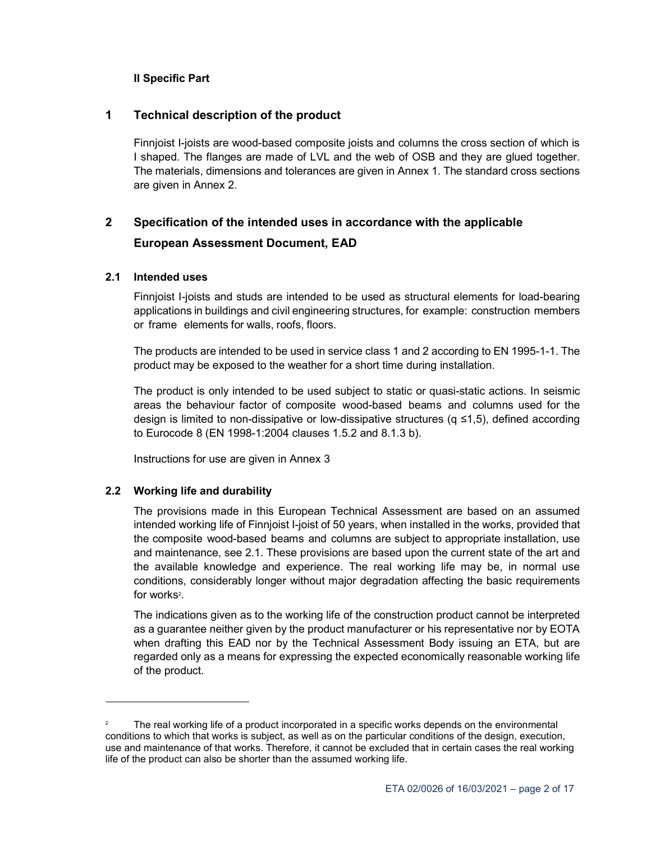#### **II Specific Part**

#### **1 Technical description of the product**

Finnjoist I-joists are wood-based composite joists and columns the cross section of which is I shaped. The flanges are made of LVL and the web of OSB and they are glued together. The materials, dimensions and tolerances are given in Annex 1. The standard cross sections are given in Annex 2.

# **2 Specification of the intended uses in accordance with the applicable European Assessment Document, EAD**

#### **2.1 Intended uses**

Finnjoist I-joists and studs are intended to be used as structural elements for load-bearing applications in buildings and civil engineering structures, for example: construction members or frame elements for walls, roofs, floors.

The products are intended to be used in service class 1 and 2 according to EN 1995-1-1. The product may be exposed to the weather for a short time during installation.

The product is only intended to be used subject to static or quasi-static actions. In seismic areas the behaviour factor of composite wood-based beams and columns used for the design is limited to non-dissipative or low-dissipative structures (q ≤1,5), defined according to Eurocode 8 (EN 1998-1:2004 clauses 1.5.2 and 8.1.3 b).

Instructions for use are given in Annex 3

#### **2.2 Working life and durability**

1

The provisions made in this European Technical Assessment are based on an assumed intended working life of Finnjoist I-joist of 50 years, when installed in the works, provided that the composite wood-based beams and columns are subject to appropriate installation, use and maintenance, see 2.1. These provisions are based upon the current state of the art and the available knowledge and experience. The real working life may be, in normal use conditions, considerably longer without major degradation affecting the basic requirements for works<del>?</del>.

The indications given as to the working life of the construction product cannot be interpreted as a guarantee neither given by the product manufacturer or his representative nor by EOTA when drafting this EAD nor by the Technical Assessment Body issuing an ETA, but are regarded only as a means for expressing the expected economically reasonable working life of the product.

<sup>2</sup> The real working life of a product incorporated in a specific works depends on the environmental conditions to which that works is subject, as well as on the particular conditions of the design, execution, use and maintenance of that works. Therefore, it cannot be excluded that in certain cases the real working life of the product can also be shorter than the assumed working life.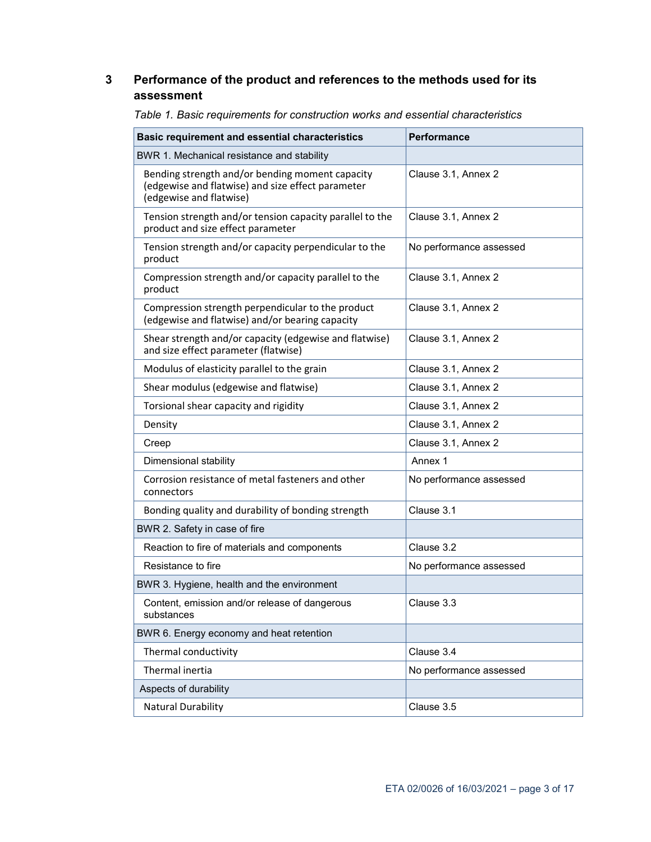### **3 Performance of the product and references to the methods used for its assessment**

| <b>Basic requirement and essential characteristics</b>                                                                          | Performance             |
|---------------------------------------------------------------------------------------------------------------------------------|-------------------------|
| BWR 1. Mechanical resistance and stability                                                                                      |                         |
| Bending strength and/or bending moment capacity<br>(edgewise and flatwise) and size effect parameter<br>(edgewise and flatwise) | Clause 3.1, Annex 2     |
| Tension strength and/or tension capacity parallel to the<br>product and size effect parameter                                   | Clause 3.1, Annex 2     |
| Tension strength and/or capacity perpendicular to the<br>product                                                                | No performance assessed |
| Compression strength and/or capacity parallel to the<br>product                                                                 | Clause 3.1, Annex 2     |
| Compression strength perpendicular to the product<br>(edgewise and flatwise) and/or bearing capacity                            | Clause 3.1, Annex 2     |
| Shear strength and/or capacity (edgewise and flatwise)<br>and size effect parameter (flatwise)                                  | Clause 3.1, Annex 2     |
| Modulus of elasticity parallel to the grain                                                                                     | Clause 3.1, Annex 2     |
| Shear modulus (edgewise and flatwise)                                                                                           | Clause 3.1, Annex 2     |
| Torsional shear capacity and rigidity                                                                                           | Clause 3.1, Annex 2     |
| Density                                                                                                                         | Clause 3.1, Annex 2     |
| Creep                                                                                                                           | Clause 3.1, Annex 2     |
| Dimensional stability                                                                                                           | Annex 1                 |
| Corrosion resistance of metal fasteners and other<br>connectors                                                                 | No performance assessed |
| Bonding quality and durability of bonding strength                                                                              | Clause 3.1              |
| BWR 2. Safety in case of fire                                                                                                   |                         |
| Reaction to fire of materials and components                                                                                    | Clause 3.2              |
| Resistance to fire                                                                                                              | No performance assessed |
| BWR 3. Hygiene, health and the environment                                                                                      |                         |
| Content, emission and/or release of dangerous<br>substances                                                                     | Clause 3.3              |
| BWR 6. Energy economy and heat retention                                                                                        |                         |
| Thermal conductivity                                                                                                            | Clause 3.4              |
| Thermal inertia                                                                                                                 | No performance assessed |
| Aspects of durability                                                                                                           |                         |
| Natural Durability                                                                                                              | Clause 3.5              |

*Table 1. Basic requirements for construction works and essential characteristics*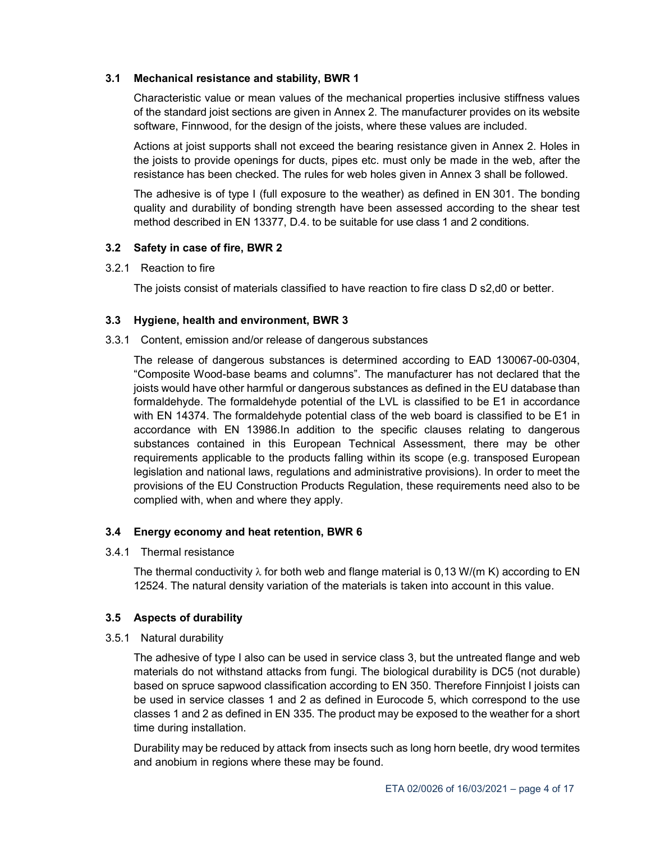#### **3.1 Mechanical resistance and stability, BWR 1**

Characteristic value or mean values of the mechanical properties inclusive stiffness values of the standard joist sections are given in Annex 2. The manufacturer provides on its website software, Finnwood, for the design of the joists, where these values are included.

Actions at joist supports shall not exceed the bearing resistance given in Annex 2. Holes in the joists to provide openings for ducts, pipes etc. must only be made in the web, after the resistance has been checked. The rules for web holes given in Annex 3 shall be followed.

The adhesive is of type I (full exposure to the weather) as defined in EN 301. The bonding quality and durability of bonding strength have been assessed according to the shear test method described in EN 13377, D.4. to be suitable for use class 1 and 2 conditions.

#### **3.2 Safety in case of fire, BWR 2**

3.2.1 Reaction to fire

The joists consist of materials classified to have reaction to fire class D s2,d0 or better.

#### **3.3 Hygiene, health and environment, BWR 3**

3.3.1 Content, emission and/or release of dangerous substances

The release of dangerous substances is determined according to EAD 130067-00-0304, "Composite Wood-base beams and columns". The manufacturer has not declared that the joists would have other harmful or dangerous substances as defined in the EU database than formaldehyde. The formaldehyde potential of the LVL is classified to be E1 in accordance with EN 14374. The formaldehyde potential class of the web board is classified to be E1 in accordance with EN 13986.In addition to the specific clauses relating to dangerous substances contained in this European Technical Assessment, there may be other requirements applicable to the products falling within its scope (e.g. transposed European legislation and national laws, regulations and administrative provisions). In order to meet the provisions of the EU Construction Products Regulation, these requirements need also to be complied with, when and where they apply.

#### **3.4 Energy economy and heat retention, BWR 6**

3.4.1 Thermal resistance

The thermal conductivity  $\lambda$  for both web and flange material is 0,13 W/(m K) according to EN 12524. The natural density variation of the materials is taken into account in this value.

#### **3.5 Aspects of durability**

3.5.1 Natural durability

The adhesive of type I also can be used in service class 3, but the untreated flange and web materials do not withstand attacks from fungi. The biological durability is DC5 (not durable) based on spruce sapwood classification according to EN 350. Therefore Finnjoist I joists can be used in service classes 1 and 2 as defined in Eurocode 5, which correspond to the use classes 1 and 2 as defined in EN 335. The product may be exposed to the weather for a short time during installation.

Durability may be reduced by attack from insects such as long horn beetle, dry wood termites and anobium in regions where these may be found.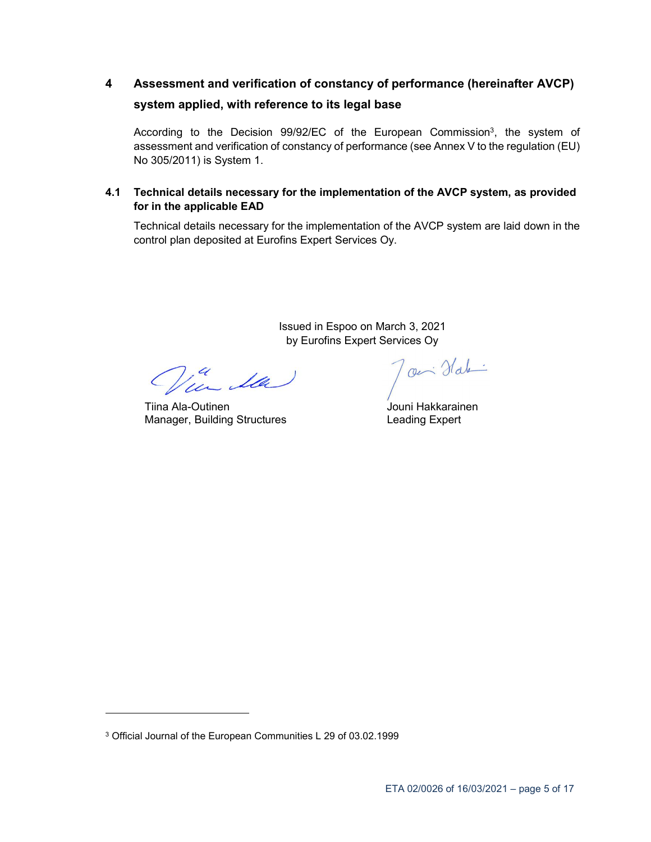# **4 Assessment and verification of constancy of performance (hereinafter AVCP) system applied, with reference to its legal base**

According to the Decision 99/92/EC of the European Commission<sup>3</sup>, the system of assessment and verification of constancy of performance (see Annex V to the regulation (EU) No 305/2011) is System 1.

#### **4.1 Technical details necessary for the implementation of the AVCP system, as provided for in the applicable EAD**

Technical details necessary for the implementation of the AVCP system are laid down in the control plan deposited at Eurofins Expert Services Oy.

> Issued in Espoo on March 3, 2021 by Eurofins Expert Services Oy

in Ila

Tiina Ala-Outinen Manager, Building Structures

Joen Habi

Jouni Hakkarainen Leading Expert

-

<sup>3</sup> Official Journal of the European Communities L 29 of 03.02.1999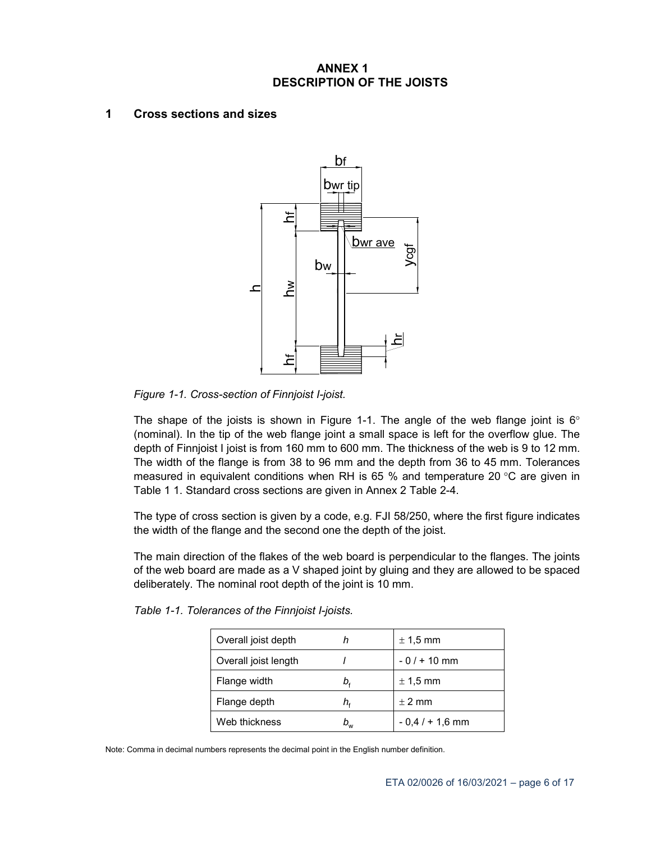### **ANNEX 1 DESCRIPTION OF THE JOISTS**

#### **1 Cross sections and sizes**



*Figure 1-1. Cross-section of Finnjoist I-joist.*

The shape of the joists is shown in Figure 1-1. The angle of the web flange joint is  $6^{\circ}$ (nominal). In the tip of the web flange joint a small space is left for the overflow glue. The depth of Finnjoist I joist is from 160 mm to 600 mm. The thickness of the web is 9 to 12 mm. The width of the flange is from 38 to 96 mm and the depth from 36 to 45 mm. Tolerances measured in equivalent conditions when RH is 65 % and temperature 20  $\degree$ C are given in Table 1 1. Standard cross sections are given in Annex 2 Table 2-4.

The type of cross section is given by a code, e.g. FJI 58/250, where the first figure indicates the width of the flange and the second one the depth of the joist.

The main direction of the flakes of the web board is perpendicular to the flanges. The joints of the web board are made as a V shaped joint by gluing and they are allowed to be spaced deliberately. The nominal root depth of the joint is 10 mm.

| Overall joist depth  |    | $\pm$ 1,5 mm      |
|----------------------|----|-------------------|
| Overall joist length |    | $-0/ + 10$ mm     |
| Flange width         | b, | $\pm$ 1,5 mm      |
| Flange depth         | h, | $\pm$ 2 mm        |
| Web thickness        | pw | $-0.4 / + 1.6$ mm |

| Table 1-1. Tolerances of the Finnjoist I-joists. |  |  |  |  |  |
|--------------------------------------------------|--|--|--|--|--|
|--------------------------------------------------|--|--|--|--|--|

Note: Comma in decimal numbers represents the decimal point in the English number definition.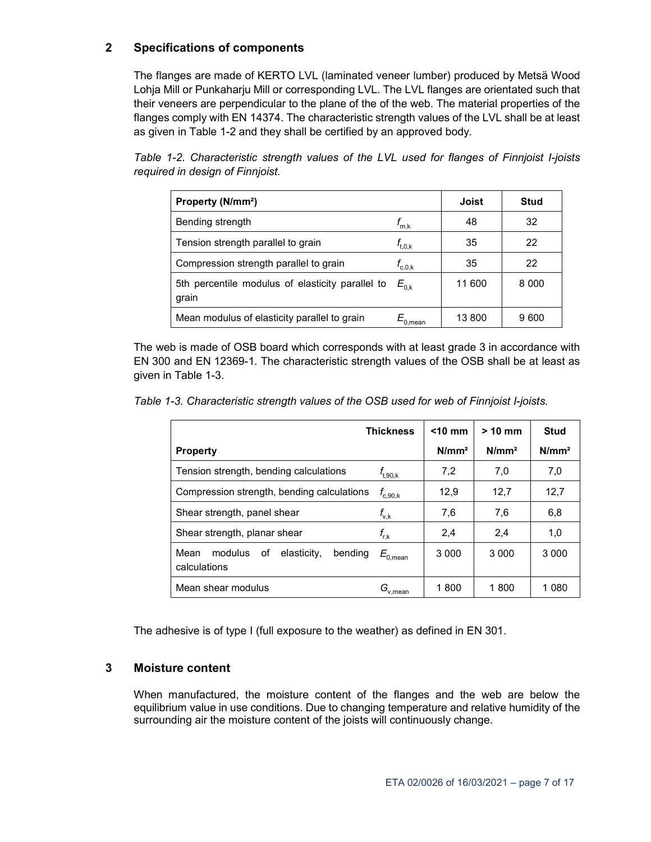#### **2 Specifications of components**

The flanges are made of KERTO LVL (laminated veneer lumber) produced by Metsä Wood Lohja Mill or Punkaharju Mill or corresponding LVL. The LVL flanges are orientated such that their veneers are perpendicular to the plane of the of the web. The material properties of the flanges comply with EN 14374. The characteristic strength values of the LVL shall be at least as given in Table 1-2 and they shall be certified by an approved body.

*Table 1-2. Characteristic strength values of the LVL used for flanges of Finnjoist I-joists required in design of Finnjoist.* 

| Property (N/mm <sup>2</sup> )                             |                                       | Joist  | Stud    |
|-----------------------------------------------------------|---------------------------------------|--------|---------|
| Bending strength                                          | $t_{m,k}$                             | 48     | 32      |
| Tension strength parallel to grain                        | $f_{\rm t,0,k}$                       | 35     | 22      |
| Compression strength parallel to grain                    | $f_{\mathrm{c,0,k}}$                  | 35     | 22      |
| 5th percentile modulus of elasticity parallel to<br>grain | $E_{0. k}$                            | 11 600 | 8 0 0 0 |
| Mean modulus of elasticity parallel to grain              | $\bar{\mathcal{L}}_{0,\mathsf{mean}}$ | 13800  | 9600    |

The web is made of OSB board which corresponds with at least grade 3 in accordance with EN 300 and EN 12369-1. The characteristic strength values of the OSB shall be at least as given in Table 1-3.

*Table 1-3. Characteristic strength values of the OSB used for web of Finnjoist I-joists.* 

|                                                                 | <b>Thickness</b>    | $<$ 10 mm | $> 10$ mm         | Stud              |
|-----------------------------------------------------------------|---------------------|-----------|-------------------|-------------------|
| <b>Property</b>                                                 |                     | $N/mm^2$  | N/mm <sup>2</sup> | N/mm <sup>2</sup> |
| Tension strength, bending calculations                          | $f_{\rm t,90,k}$    | 7,2       | 7,0               | 7,0               |
| Compression strength, bending calculations                      | $f_{\rm c,90,k}^{}$ | 12.9      | 12.7              | 12,7              |
| Shear strength, panel shear                                     | $f_{\rm v,k}$       | 7,6       | 7,6               | 6,8               |
| Shear strength, planar shear                                    | $f_{\rm r,k}$       | 2,4       | 2.4               | 1,0               |
| Mean<br>modulus<br>elasticity,<br>bending<br>οf<br>calculations | $E_{\rm 0,mean}$    | 3 0 0 0   | 3 0 0 0           | 3 0 0 0           |
| Mean shear modulus                                              | $G_{\rm v,mean}$    | 1800      | 1800              | 1 080             |

The adhesive is of type I (full exposure to the weather) as defined in EN 301.

#### **3 Moisture content**

When manufactured, the moisture content of the flanges and the web are below the equilibrium value in use conditions. Due to changing temperature and relative humidity of the surrounding air the moisture content of the joists will continuously change.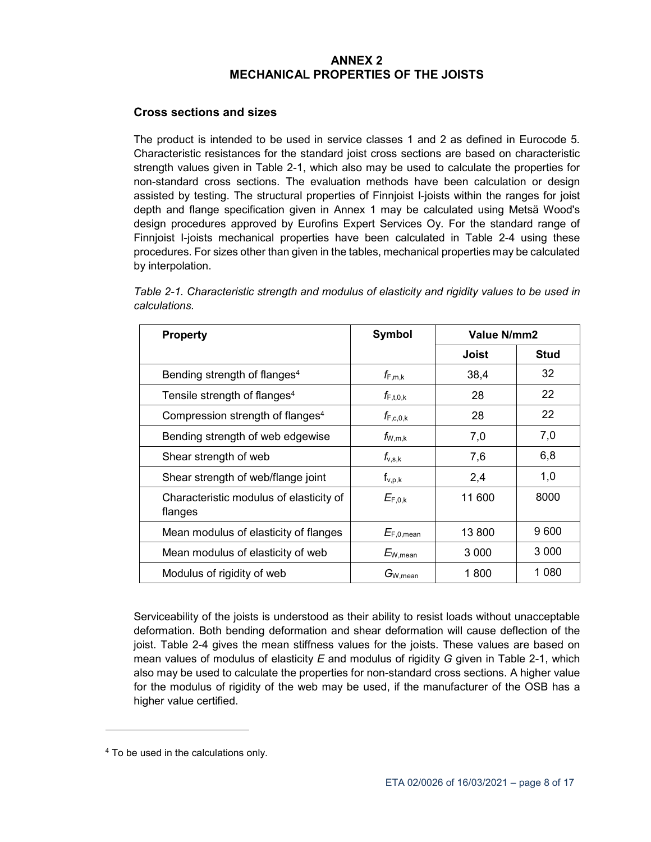#### **ANNEX 2 MECHANICAL PROPERTIES OF THE JOISTS**

#### **Cross sections and sizes**

The product is intended to be used in service classes 1 and 2 as defined in Eurocode 5. Characteristic resistances for the standard joist cross sections are based on characteristic strength values given in Table 2-1, which also may be used to calculate the properties for non-standard cross sections. The evaluation methods have been calculation or design assisted by testing. The structural properties of Finnjoist I-joists within the ranges for joist depth and flange specification given in Annex 1 may be calculated using Metsä Wood's design procedures approved by Eurofins Expert Services Oy. For the standard range of Finnjoist I-joists mechanical properties have been calculated in Table 2-4 using these procedures. For sizes other than given in the tables, mechanical properties may be calculated by interpolation.

| Table 2-1. Characteristic strength and modulus of elasticity and rigidity values to be used in |  |  |
|------------------------------------------------------------------------------------------------|--|--|
| calculations.                                                                                  |  |  |

| <b>Property</b>                                    | Symbol                                            | Value N/mm2 |             |  |
|----------------------------------------------------|---------------------------------------------------|-------------|-------------|--|
|                                                    |                                                   | Joist       | <b>Stud</b> |  |
| Bending strength of flanges <sup>4</sup>           | $f_{\mathsf{F},\mathsf{m},\mathsf{k}}$            | 38,4        | 32          |  |
| Tensile strength of flanges <sup>4</sup>           | $f_{\mathsf{F},\mathsf{t},\mathsf{0},\mathsf{k}}$ | 28          | 22          |  |
| Compression strength of flanges <sup>4</sup>       | $f_{\mathsf{F,c,0,k}}$                            | 28          | 22          |  |
| Bending strength of web edgewise                   | $f_{W,m,k}$                                       | 7,0         | 7,0         |  |
| Shear strength of web                              | $f_{\rm v,s,k}$                                   | 7,6         | 6,8         |  |
| Shear strength of web/flange joint                 | $f_{v,p,k}$                                       | 2,4         | 1,0         |  |
| Characteristic modulus of elasticity of<br>flanges | $E_{F,0,k}$                                       | 11 600      | 8000        |  |
| Mean modulus of elasticity of flanges              | $E_{F,0,mean}$                                    | 13 800      | 9600        |  |
| Mean modulus of elasticity of web                  | $E_{\rm W,mean}$                                  | 3 000       | 3 0 0 0     |  |
| Modulus of rigidity of web                         | $G_{\rm W,mean}$                                  | 1 800       | 1 080       |  |

Serviceability of the joists is understood as their ability to resist loads without unacceptable deformation. Both bending deformation and shear deformation will cause deflection of the joist. Table 2-4 gives the mean stiffness values for the joists. These values are based on mean values of modulus of elasticity *E* and modulus of rigidity *G* given in Table 2-1, which also may be used to calculate the properties for non-standard cross sections. A higher value for the modulus of rigidity of the web may be used, if the manufacturer of the OSB has a higher value certified.

-

<sup>4</sup> To be used in the calculations only.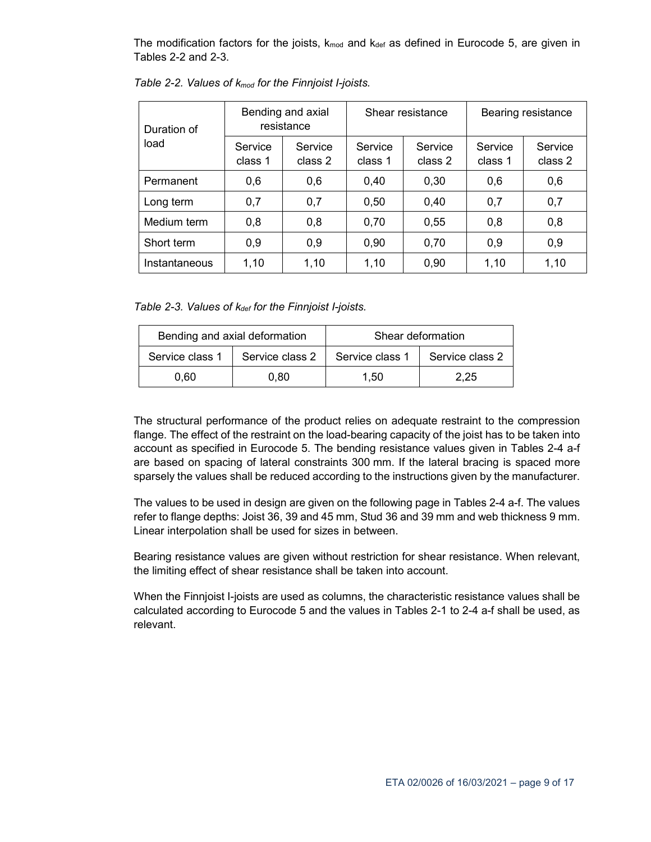The modification factors for the joists,  $k_{mod}$  and  $k_{def}$  as defined in Eurocode 5, are given in Tables 2-2 and 2-3.

| Duration of   |                    | Bending and axial<br>resistance |                    | Shear resistance   | Bearing resistance |                    |  |
|---------------|--------------------|---------------------------------|--------------------|--------------------|--------------------|--------------------|--|
| load          | Service<br>class 1 | Service<br>class 2              | Service<br>class 1 | Service<br>class 2 | Service<br>class 1 | Service<br>class 2 |  |
| Permanent     | 0,6                | 0,6                             | 0,40               | 0,30               | 0,6                | 0,6                |  |
| Long term     | 0,7                | 0,7                             | 0,50               | 0,40               | 0,7                | 0,7                |  |
| Medium term   | 0,8                | 0,8                             | 0,70               | 0,55               | 0,8                | 0,8                |  |
| Short term    | 0,9                | 0,9                             | 0,90               | 0,70               | 0,9                | 0,9                |  |
| Instantaneous | 1,10               | 1,10                            | 1,10               | 0,90               | 1,10               | 1,10               |  |

*Table 2-2. Values of kmod for the Finnjoist I-joists.* 

*Table 2-3. Values of kdef for the Finnjoist I-joists.* 

|                 | Bending and axial deformation | Shear deformation |                 |  |
|-----------------|-------------------------------|-------------------|-----------------|--|
| Service class 1 | Service class 2               | Service class 1   | Service class 2 |  |
| 0.60            | 0.80                          | 1.50              | 2.25            |  |

The structural performance of the product relies on adequate restraint to the compression flange. The effect of the restraint on the load-bearing capacity of the joist has to be taken into account as specified in Eurocode 5. The bending resistance values given in Tables 2-4 a-f are based on spacing of lateral constraints 300 mm. If the lateral bracing is spaced more sparsely the values shall be reduced according to the instructions given by the manufacturer.

The values to be used in design are given on the following page in Tables 2-4 a-f. The values refer to flange depths: Joist 36, 39 and 45 mm, Stud 36 and 39 mm and web thickness 9 mm. Linear interpolation shall be used for sizes in between.

Bearing resistance values are given without restriction for shear resistance. When relevant, the limiting effect of shear resistance shall be taken into account.

When the Finnjoist I-joists are used as columns, the characteristic resistance values shall be calculated according to Eurocode 5 and the values in Tables 2-1 to 2-4 a-f shall be used, as relevant.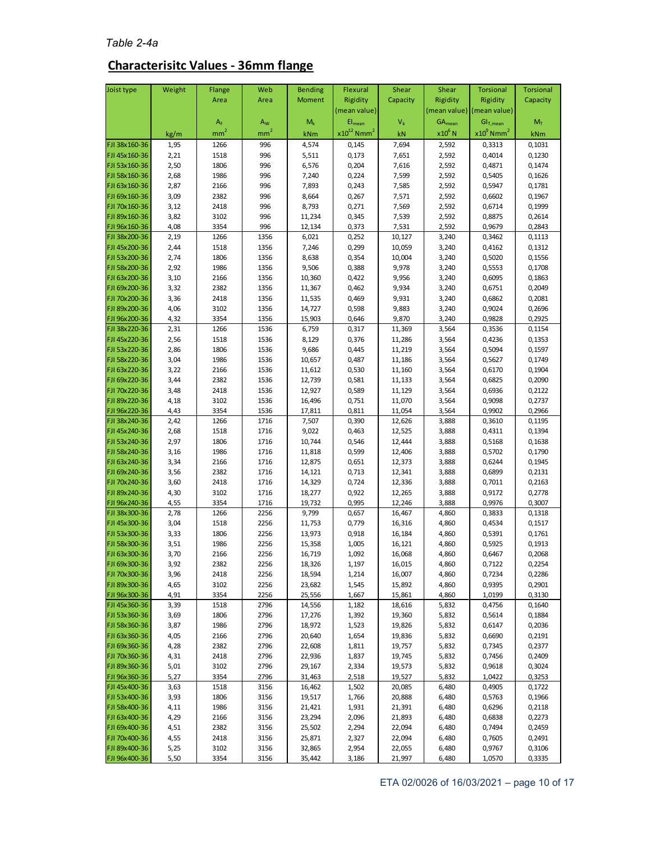### *Table 2-4a*

## **Characterisitc Values - 36mm flange**

| Joist type                     | Weight       | Flange          | Web             | <b>Bending</b>   | Flexural                    | Shear            | Shear          | <b>Torsional</b>                         | <b>Torsional</b> |
|--------------------------------|--------------|-----------------|-----------------|------------------|-----------------------------|------------------|----------------|------------------------------------------|------------------|
|                                |              | Area            | Area            | <b>Moment</b>    | Rigidity                    | Capacity         | Rigidity       | Rigidity                                 | Capacity         |
|                                |              |                 |                 |                  | (mean value)                |                  |                | (mean value) (mean value)                |                  |
|                                |              | A <sub>F</sub>  | $A_W$           | $M_k$            | $El_{mean}$                 | $V_k$            | $GA_{mean}$    | $\mathsf{GI}_{\mathsf{T},\mathsf{mean}}$ | $M_T$            |
|                                | kg/m         | mm <sup>2</sup> | mm <sup>2</sup> | kNm              | $x10^{12}$ Nmm <sup>2</sup> | kN               | $x10^6$ N      | $x10^9$ Nmm <sup>2</sup>                 | kNm              |
| FJI 38x160-36                  | 1,95         | 1266            | 996             | 4,574            | 0,145                       | 7,694            | 2,592          | 0,3313                                   | 0,1031           |
| FJI 45x160-36                  | 2,21         | 1518            | 996             | 5,511            | 0,173                       | 7,651            | 2,592          | 0,4014                                   | 0,1230           |
| FJI 53x160-36                  | 2,50         | 1806            | 996             | 6,576            | 0,204                       | 7,616            | 2,592          | 0,4871                                   | 0,1474           |
| FJI 58x160-36                  | 2,68         | 1986            | 996             | 7,240            | 0,224                       | 7,599            | 2,592          | 0,5405                                   | 0,1626           |
| FJI 63x160-36                  | 2,87         | 2166            | 996             | 7,893            | 0,243                       | 7,585            | 2,592          | 0,5947                                   | 0,1781           |
| FJI 69x160-36                  | 3,09         | 2382            | 996             | 8,664            | 0,267                       | 7,571            | 2,592          | 0,6602                                   | 0,1967           |
| FJI 70x160-36                  | 3,12         | 2418            | 996             | 8,793            | 0,271                       | 7,569            | 2,592          | 0,6714                                   | 0,1999           |
| FJI 89x160-36                  | 3,82         | 3102            | 996             | 11,234           | 0,345                       | 7,539            | 2,592          | 0,8875                                   | 0,2614           |
| FJI 96x160-36<br>FJI 38x200-36 | 4,08<br>2,19 | 3354<br>1266    | 996<br>1356     | 12,134<br>6,021  | 0,373<br>0,252              | 7,531<br>10,127  | 2,592<br>3,240 | 0,9679<br>0,3462                         | 0,2843<br>0,1113 |
| FJI 45x200-36                  | 2,44         | 1518            | 1356            | 7,246            | 0,299                       | 10,059           | 3,240          | 0,4162                                   | 0,1312           |
| FJI 53x200-36                  | 2,74         | 1806            | 1356            | 8,638            | 0,354                       | 10,004           | 3,240          | 0,5020                                   | 0,1556           |
| FJI 58x200-36                  | 2,92         | 1986            | 1356            | 9,506            | 0,388                       | 9,978            | 3,240          | 0,5553                                   | 0,1708           |
| FJI 63x200-36                  | 3,10         | 2166            | 1356            | 10,360           | 0,422                       | 9,956            | 3,240          | 0,6095                                   | 0,1863           |
| FJI 69x200-36                  | 3,32         | 2382            | 1356            | 11,367           | 0,462                       | 9,934            | 3,240          | 0,6751                                   | 0,2049           |
| FJI 70x200-36                  | 3,36         | 2418            | 1356            | 11,535           | 0,469                       | 9,931            | 3,240          | 0,6862                                   | 0,2081           |
| FJI 89x200-36                  | 4,06         | 3102            | 1356            | 14,727           | 0,598                       | 9,883            | 3,240          | 0,9024                                   | 0,2696           |
| FJI 96x200-36                  | 4,32         | 3354            | 1356            | 15,903           | 0,646                       | 9,870            | 3,240          | 0,9828                                   | 0,2925           |
| FJI 38x220-36                  | 2,31         | 1266            | 1536            | 6,759            | 0,317                       | 11,369           | 3,564          | 0,3536                                   | 0,1154           |
| FJI 45x220-36                  | 2,56         | 1518            | 1536            | 8,129            | 0,376                       | 11,286           | 3,564          | 0,4236                                   | 0,1353           |
| FJI 53x220-36                  | 2,86         | 1806            | 1536            | 9,686            | 0,445                       | 11,219           | 3,564          | 0,5094                                   | 0,1597           |
| FJI 58x220-36                  | 3,04         | 1986            | 1536            | 10,657           | 0,487                       | 11,186           | 3,564          | 0,5627                                   | 0,1749           |
| FJI 63x220-36<br>FJI 69x220-36 | 3,22         | 2166<br>2382    | 1536            | 11,612           | 0,530                       | 11,160           | 3,564          | 0,6170<br>0,6825                         | 0,1904           |
| FJI 70x220-36                  | 3,44<br>3,48 | 2418            | 1536<br>1536    | 12,739<br>12,927 | 0,581<br>0,589              | 11,133<br>11,129 | 3,564<br>3,564 | 0,6936                                   | 0,2090<br>0,2122 |
| FJI 89x220-36                  | 4,18         | 3102            | 1536            | 16,496           | 0,751                       | 11,070           | 3,564          | 0,9098                                   | 0,2737           |
| FJI 96x220-36                  | 4,43         | 3354            | 1536            | 17,811           | 0,811                       | 11,054           | 3,564          | 0,9902                                   | 0,2966           |
| FJI 38x240-36                  | 2,42         | 1266            | 1716            | 7,507            | 0,390                       | 12,626           | 3,888          | 0,3610                                   | 0,1195           |
| FJI 45x240-36                  | 2,68         | 1518            | 1716            | 9,022            | 0,463                       | 12,525           | 3,888          | 0,4311                                   | 0,1394           |
| FJI 53x240-36                  | 2,97         | 1806            | 1716            | 10,744           | 0,546                       | 12,444           | 3,888          | 0,5168                                   | 0,1638           |
| FJI 58x240-36                  | 3,16         | 1986            | 1716            | 11,818           | 0,599                       | 12,406           | 3,888          | 0,5702                                   | 0,1790           |
| FJI 63x240-36                  | 3,34         | 2166            | 1716            | 12,875           | 0,651                       | 12,373           | 3,888          | 0,6244                                   | 0,1945           |
| FJI 69x240-36                  | 3,56         | 2382            | 1716            | 14,121           | 0,713                       | 12,341           | 3,888          | 0,6899                                   | 0,2131           |
| FJI 70x240-36                  | 3,60         | 2418            | 1716            | 14,329           | 0,724                       | 12,336           | 3,888          | 0,7011                                   | 0,2163           |
| FJI 89x240-36                  | 4,30         | 3102            | 1716            | 18,277           | 0,922                       | 12,265           | 3,888          | 0,9172                                   | 0,2778           |
| FJI 96x240-36<br>FJI 38x300-36 | 4,55<br>2,78 | 3354<br>1266    | 1716<br>2256    | 19,732           | 0,995                       | 12,246<br>16,467 | 3,888          | 0,9976                                   | 0,3007           |
| FJI 45x300-36                  | 3,04         | 1518            | 2256            | 9,799<br>11,753  | 0,657<br>0,779              | 16,316           | 4,860<br>4,860 | 0,3833<br>0,4534                         | 0,1318<br>0,1517 |
| FJI 53x300-36                  | 3,33         | 1806            | 2256            | 13,973           | 0,918                       | 16,184           | 4,860          | 0,5391                                   | 0,1761           |
| FJI 58x300-36                  | 3,51         | 1986            | 2256            | 15,358           | 1,005                       | 16,121           | 4,860          | 0,5925                                   | 0,1913           |
| FJI 63x300-36                  | 3,70         | 2166            | 2256            | 16,719           | 1,092                       | 16,068           | 4,860          | 0,6467                                   | 0,2068           |
| FJI 69x300-36                  | 3,92         | 2382            | 2256            | 18,326           | 1,197                       | 16,015           | 4,860          | 0,7122                                   | 0,2254           |
| FJI 70x300-36                  | 3,96         | 2418            | 2256            | 18,594           | 1,214                       | 16,007           | 4,860          | 0,7234                                   | 0,2286           |
| FJI 89x300-36                  | 4,65         | 3102            | 2256            | 23,682           | 1,545                       | 15,892           | 4,860          | 0,9395                                   | 0,2901           |
| FJI 96x300-36                  | 4,91         | 3354            | 2256            | 25,556           | 1,667                       | 15,861           | 4,860          | 1,0199                                   | 0,3130           |
| FJI 45x360-36                  | 3,39         | 1518            | 2796            | 14,556           | 1,182                       | 18,616           | 5,832          | 0,4756                                   | 0,1640           |
| FJI 53x360-36                  | 3,69         | 1806            | 2796            | 17,276           | 1,392                       | 19,360           | 5,832          | 0,5614                                   | 0,1884           |
| FJI 58x360-36<br>FJI 63x360-36 | 3,87         | 1986            | 2796            | 18,972           | 1,523                       | 19,826           | 5,832          | 0,6147                                   | 0,2036           |
| FJI 69x360-36                  | 4,05         | 2166<br>2382    | 2796            | 20,640           | 1,654                       | 19,836           | 5,832          | 0,6690                                   | 0,2191           |
| FJI 70x360-36                  | 4,28<br>4,31 | 2418            | 2796<br>2796    | 22,608<br>22,936 | 1,811<br>1,837              | 19,757<br>19,745 | 5,832<br>5,832 | 0,7345<br>0,7456                         | 0,2377<br>0,2409 |
| FJI 89x360-36                  | 5,01         | 3102            | 2796            | 29,167           | 2,334                       | 19,573           | 5,832          | 0,9618                                   | 0,3024           |
| FJI 96x360-36                  | 5,27         | 3354            | 2796            | 31,463           | 2,518                       | 19,527           | 5,832          | 1,0422                                   | 0,3253           |
| FJI 45x400-36                  | 3,63         | 1518            | 3156            | 16,462           | 1,502                       | 20,085           | 6,480          | 0,4905                                   | 0,1722           |
| FJI 53x400-36                  | 3,93         | 1806            | 3156            | 19,517           | 1,766                       | 20,888           | 6,480          | 0,5763                                   | 0,1966           |
| FJI 58x400-36                  | 4,11         | 1986            | 3156            | 21,421           | 1,931                       | 21,391           | 6,480          | 0,6296                                   | 0,2118           |
| FJI 63x400-36                  | 4,29         | 2166            | 3156            | 23,294           | 2,096                       | 21,893           | 6,480          | 0,6838                                   | 0,2273           |
| FJI 69x400-36                  | 4,51         | 2382            | 3156            | 25,502           | 2,294                       | 22,094           | 6,480          | 0,7494                                   | 0,2459           |
| FJI 70x400-36                  | 4,55         | 2418            | 3156            | 25,871           | 2,327                       | 22,094           | 6,480          | 0,7605                                   | 0,2491           |
| FJI 89x400-36                  | 5,25         | 3102            | 3156            | 32,865           | 2,954                       | 22,055           | 6,480          | 0,9767                                   | 0,3106           |
| FJI 96x400-36                  | 5,50         | 3354            | 3156            | 35,442           | 3,186                       | 21,997           | 6,480          | 1,0570                                   | 0,3335           |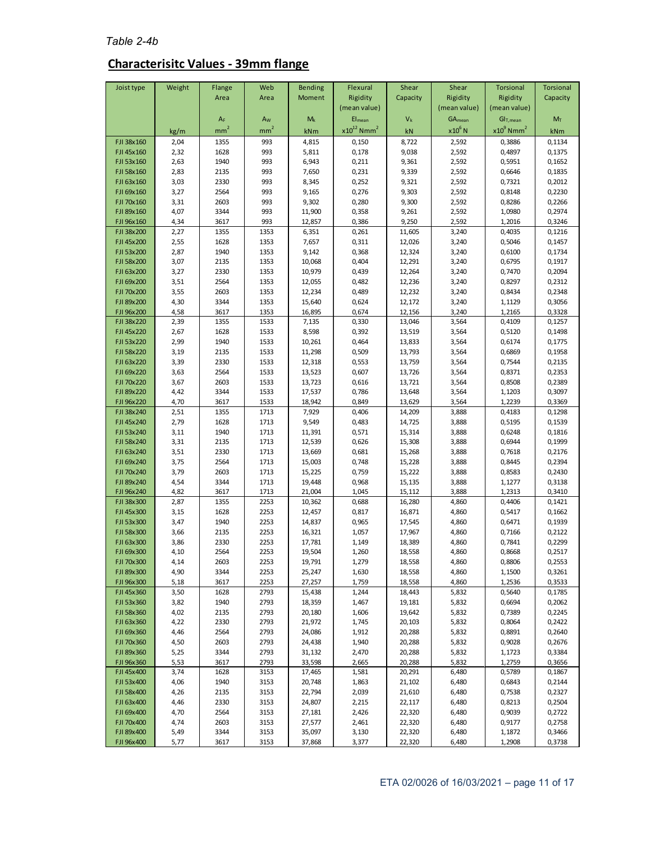# **Characterisitc Values - 39mm flange**

| Joist type               | Weight       | Flange          | Web                     | <b>Bending</b>   | Flexural                    | Shear            | Shear                       | <b>Torsional</b>                     | <b>Torsional</b>          |
|--------------------------|--------------|-----------------|-------------------------|------------------|-----------------------------|------------------|-----------------------------|--------------------------------------|---------------------------|
|                          |              | Area            | Area                    | Moment           | Rigidity                    | Capacity         | Rigidity                    | Rigidity                             | Capacity                  |
|                          |              | $A_F$           | $\mathsf{A}_\mathsf{W}$ | $M_k$            | (mean value)<br>$EI_{mean}$ | $V_k$            | (mean value)<br>$GA_{mean}$ | (mean value)<br>GI <sub>T,mean</sub> | $\mathsf{M}_{\mathsf{T}}$ |
|                          | kg/m         | mm <sup>2</sup> | mm <sup>2</sup>         | kNm              | $x10^{12}$ Nmm <sup>2</sup> | kN               | $x10^6$ N                   | $x10^9$ Nmm <sup>2</sup>             | kNm                       |
| FJI 38x160               | 2,04         | 1355            | 993                     | 4,815            | 0,150                       | 8,722            | 2,592                       | 0,3886                               | 0,1134                    |
| FJI 45x160               | 2,32         | 1628            | 993                     | 5,811            | 0,178                       | 9,038            | 2,592                       | 0,4897                               | 0,1375                    |
| FJI 53x160               | 2,63         | 1940            | 993                     | 6,943            | 0,211                       | 9,361            | 2,592                       | 0,5951                               | 0,1652                    |
| FJI 58x160               | 2,83         | 2135            | 993                     | 7,650            | 0,231                       | 9,339            | 2,592                       | 0,6646                               | 0,1835                    |
| FJI 63x160<br>FJI 69x160 | 3,03<br>3,27 | 2330<br>2564    | 993<br>993              | 8,345<br>9,165   | 0,252<br>0,276              | 9,321<br>9,303   | 2,592<br>2,592              | 0,7321<br>0,8148                     | 0,2012<br>0,2230          |
| FJI 70x160               | 3,31         | 2603            | 993                     | 9,302            | 0,280                       | 9,300            | 2,592                       | 0,8286                               | 0,2266                    |
| FJI 89x160               | 4,07         | 3344            | 993                     | 11,900           | 0,358                       | 9,261            | 2,592                       | 1,0980                               | 0,2974                    |
| FJI 96x160               | 4,34         | 3617            | 993                     | 12,857           | 0,386                       | 9,250            | 2,592                       | 1,2016                               | 0,3246                    |
| FJI 38x200               | 2,27         | 1355            | 1353                    | 6,351            | 0,261                       | 11,605           | 3,240                       | 0,4035                               | 0,1216                    |
| FJI 45x200<br>FJI 53x200 | 2,55<br>2,87 | 1628<br>1940    | 1353<br>1353            | 7,657<br>9,142   | 0,311<br>0,368              | 12,026<br>12,324 | 3,240<br>3,240              | 0,5046<br>0,6100                     | 0,1457<br>0,1734          |
| FJI 58x200               | 3,07         | 2135            | 1353                    | 10,068           | 0,404                       | 12,291           | 3,240                       | 0,6795                               | 0,1917                    |
| FJI 63x200               | 3,27         | 2330            | 1353                    | 10,979           | 0,439                       | 12,264           | 3,240                       | 0,7470                               | 0,2094                    |
| FJI 69x200               | 3,51         | 2564            | 1353                    | 12,055           | 0,482                       | 12,236           | 3,240                       | 0,8297                               | 0,2312                    |
| FJI 70x200               | 3,55         | 2603            | 1353                    | 12,234           | 0,489                       | 12,232           | 3,240                       | 0,8434                               | 0,2348                    |
| FJI 89x200               | 4,30         | 3344            | 1353                    | 15,640           | 0,624                       | 12,172           | 3,240                       | 1,1129                               | 0,3056                    |
| FJI 96x200<br>FJI 38x220 | 4,58<br>2,39 | 3617<br>1355    | 1353<br>1533            | 16,895<br>7,135  | 0,674<br>0,330              | 12,156<br>13,046 | 3,240<br>3,564              | 1,2165<br>0,4109                     | 0,3328<br>0,1257          |
| FJI 45x220               | 2,67         | 1628            | 1533                    | 8,598            | 0,392                       | 13,519           | 3,564                       | 0,5120                               | 0,1498                    |
| FJI 53x220               | 2,99         | 1940            | 1533                    | 10,261           | 0,464                       | 13,833           | 3,564                       | 0,6174                               | 0,1775                    |
| FJI 58x220               | 3,19         | 2135            | 1533                    | 11,298           | 0,509                       | 13,793           | 3,564                       | 0,6869                               | 0,1958                    |
| FJI 63x220               | 3,39         | 2330            | 1533                    | 12,318           | 0,553                       | 13,759           | 3,564                       | 0,7544                               | 0,2135                    |
| FJI 69x220               | 3,63         | 2564            | 1533                    | 13,523           | 0,607                       | 13,726           | 3,564                       | 0,8371                               | 0,2353                    |
| FJI 70x220<br>FJI 89x220 | 3,67<br>4,42 | 2603<br>3344    | 1533<br>1533            | 13,723<br>17,537 | 0,616<br>0,786              | 13,721<br>13,648 | 3,564<br>3,564              | 0,8508<br>1,1203                     | 0,2389<br>0,3097          |
| FJI 96x220               | 4,70         | 3617            | 1533                    | 18,942           | 0,849                       | 13,629           | 3,564                       | 1,2239                               | 0,3369                    |
| FJI 38x240               | 2,51         | 1355            | 1713                    | 7,929            | 0,406                       | 14,209           | 3,888                       | 0,4183                               | 0,1298                    |
| FJI 45x240               | 2,79         | 1628            | 1713                    | 9,549            | 0,483                       | 14,725           | 3,888                       | 0,5195                               | 0,1539                    |
| FJI 53x240               | 3,11         | 1940            | 1713                    | 11,391           | 0,571                       | 15,314           | 3,888                       | 0,6248                               | 0,1816                    |
| FJI 58x240               | 3,31         | 2135            | 1713                    | 12,539           | 0,626                       | 15,308           | 3,888                       | 0,6944                               | 0,1999                    |
| FJI 63x240<br>FJI 69x240 | 3,51<br>3,75 | 2330<br>2564    | 1713<br>1713            | 13,669<br>15,003 | 0,681<br>0,748              | 15,268<br>15,228 | 3,888<br>3,888              | 0,7618<br>0,8445                     | 0,2176<br>0,2394          |
| FJI 70x240               | 3,79         | 2603            | 1713                    | 15,225           | 0,759                       | 15,222           | 3,888                       | 0,8583                               | 0,2430                    |
| FJI 89x240               | 4,54         | 3344            | 1713                    | 19,448           | 0,968                       | 15,135           | 3,888                       | 1,1277                               | 0,3138                    |
| FJI 96x240               | 4,82         | 3617            | 1713                    | 21,004           | 1,045                       | 15,112           | 3,888                       | 1,2313                               | 0,3410                    |
| FJI 38x300               | 2,87         | 1355            | 2253                    | 10,362           | 0,688                       | 16,280           | 4,860                       | 0,4406                               | 0,1421                    |
| FJI 45x300<br>FJI 53x300 | 3,15<br>3,47 | 1628<br>1940    | 2253<br>2253            | 12,457<br>14,837 | 0,817<br>0,965              | 16,871<br>17,545 | 4,860<br>4,860              | 0,5417<br>0,6471                     | 0,1662<br>0,1939          |
| FJI 58x300               | 3,66         | 2135            | 2253                    | 16,321           | 1,057                       | 17,967           | 4,860                       | 0,7166                               | 0,2122                    |
| FJI 63x300               | 3,86         | 2330            | 2253                    | 17,781           | 1,149                       | 18,389           | 4,860                       | 0,7841                               | 0,2299                    |
| FJI 69x300               | 4,10         | 2564            | 2253                    | 19,504           | 1,260                       | 18,558           | 4,860                       | 0,8668                               | 0,2517                    |
| FJI 70x300               | 4,14         | 2603            | 2253                    | 19,791           | 1,279                       | 18,558           | 4,860                       | 0,8806                               | 0,2553                    |
| FJI 89x300<br>FJI 96x300 | 4,90<br>5,18 | 3344<br>3617    | 2253<br>2253            | 25,247<br>27,257 | 1,630<br>1,759              | 18,558<br>18,558 | 4,860<br>4,860              | 1,1500<br>1,2536                     | 0,3261<br>0,3533          |
| FJI 45x360               | 3,50         | 1628            | 2793                    | 15,438           | 1,244                       | 18,443           | 5,832                       | 0,5640                               | 0,1785                    |
| FJI 53x360               | 3,82         | 1940            | 2793                    | 18,359           | 1,467                       | 19,181           | 5,832                       | 0,6694                               | 0,2062                    |
| FJI 58x360               | 4,02         | 2135            | 2793                    | 20,180           | 1,606                       | 19,642           | 5,832                       | 0,7389                               | 0,2245                    |
| FJI 63x360               | 4,22         | 2330            | 2793                    | 21,972           | 1,745                       | 20,103           | 5,832                       | 0,8064                               | 0,2422                    |
| FJI 69x360               | 4,46         | 2564            | 2793                    | 24,086           | 1,912                       | 20,288           | 5,832                       | 0,8891                               | 0,2640                    |
| FJI 70x360<br>FJI 89x360 | 4,50<br>5,25 | 2603<br>3344    | 2793<br>2793            | 24,438<br>31,132 | 1,940<br>2,470              | 20,288<br>20,288 | 5,832<br>5,832              | 0,9028<br>1,1723                     | 0,2676<br>0,3384          |
| FJI 96x360               | 5,53         | 3617            | 2793                    | 33,598           | 2,665                       | 20,288           | 5,832                       | 1,2759                               | 0,3656                    |
| FJI 45x400               | 3,74         | 1628            | 3153                    | 17,465           | 1,581                       | 20,291           | 6,480                       | 0,5789                               | 0,1867                    |
| FJI 53x400               | 4,06         | 1940            | 3153                    | 20,748           | 1,863                       | 21,102           | 6,480                       | 0,6843                               | 0,2144                    |
| FJI 58x400               | 4,26         | 2135            | 3153                    | 22,794           | 2,039                       | 21,610           | 6,480                       | 0,7538                               | 0,2327                    |
| FJI 63x400<br>FJI 69x400 | 4,46         | 2330            | 3153                    | 24,807           | 2,215                       | 22,117           | 6,480                       | 0,8213                               | 0,2504                    |
| FJI 70x400               | 4,70<br>4,74 | 2564<br>2603    | 3153<br>3153            | 27,181<br>27,577 | 2,426<br>2,461              | 22,320<br>22,320 | 6,480<br>6,480              | 0,9039<br>0,9177                     | 0,2722<br>0,2758          |
| FJI 89x400               | 5,49         | 3344            | 3153                    | 35,097           | 3,130                       | 22,320           | 6,480                       | 1,1872                               | 0,3466                    |
| FJI 96x400               | 5,77         | 3617            | 3153                    | 37,868           | 3,377                       | 22,320           | 6,480                       | 1,2908                               | 0,3738                    |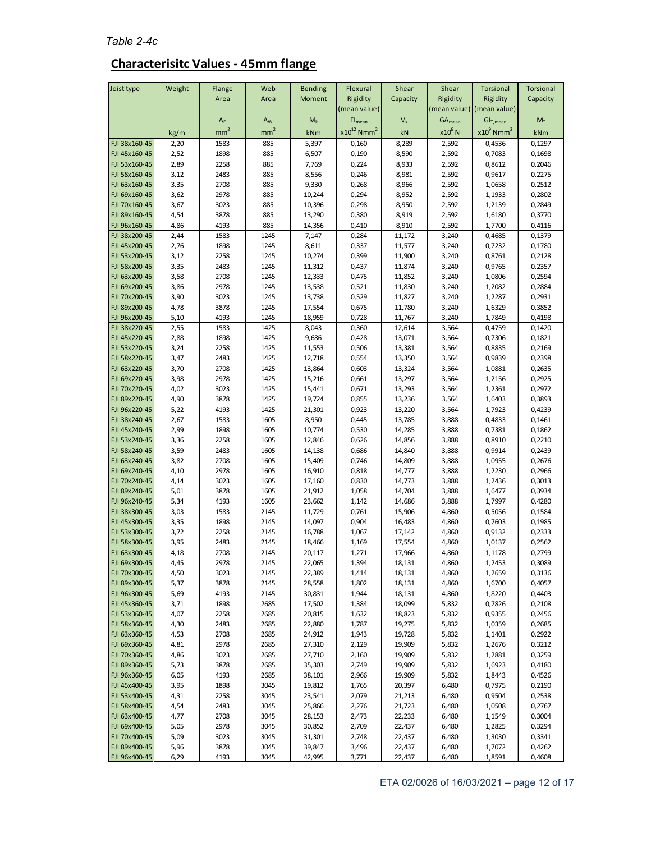### **Characterisitc Values - 45mm flange**

| Joist type                     | Weight       | Flange                   | Web                        | <b>Bending</b>   | Flexural                                   | Shear            | Shear                    | <b>Torsional</b>                                 | <b>Torsional</b> |
|--------------------------------|--------------|--------------------------|----------------------------|------------------|--------------------------------------------|------------------|--------------------------|--------------------------------------------------|------------------|
|                                |              | Area                     | Area                       | Moment           | Rigidity                                   | Capacity         | Rigidity                 | Rigidity                                         | Capacity         |
|                                |              |                          |                            |                  | (mean value)                               |                  |                          | (mean value) (mean value)                        |                  |
|                                |              | $A_F$<br>mm <sup>2</sup> | $A_{W}$<br>mm <sup>2</sup> | $M_k$            | $El_{mean}$<br>$x10^{12}$ Nmm <sup>2</sup> | $V_{k}$          | $GA_{mean}$<br>$x10^6$ N | GI <sub>T,mean</sub><br>$x10^9$ Nmm <sup>2</sup> | $M_T$            |
| FJI 38x160-45                  | kg/m<br>2,20 | 1583                     | 885                        | kNm<br>5,397     | 0,160                                      | kN<br>8,289      | 2,592                    | 0,4536                                           | kNm<br>0,1297    |
| FJI 45x160-45                  | 2,52         | 1898                     | 885                        | 6,507            | 0,190                                      | 8,590            | 2,592                    | 0,7083                                           | 0,1698           |
| FJI 53x160-45                  | 2,89         | 2258                     | 885                        | 7,769            | 0,224                                      | 8,933            | 2,592                    | 0,8612                                           | 0,2046           |
| FJI 58x160-45                  | 3,12         | 2483                     | 885                        | 8,556            | 0,246                                      | 8,981            | 2,592                    | 0,9617                                           | 0,2275           |
| FJI 63x160-45                  | 3,35         | 2708                     | 885                        | 9,330            | 0,268                                      | 8,966            | 2,592                    | 1,0658                                           | 0,2512           |
| FJI 69x160-45                  | 3,62         | 2978                     | 885                        | 10,244           | 0,294                                      | 8,952            | 2,592                    | 1,1933                                           | 0,2802           |
| FJI 70x160-45                  | 3,67         | 3023                     | 885                        | 10,396           | 0,298                                      | 8,950            | 2,592                    | 1,2139                                           | 0,2849           |
| FJI 89x160-45                  | 4,54         | 3878                     | 885                        | 13,290           | 0,380                                      | 8,919            | 2,592                    | 1,6180                                           | 0,3770           |
| FJI 96x160-45<br>FJI 38x200-45 | 4,86<br>2,44 | 4193<br>1583             | 885<br>1245                | 14,356<br>7,147  | 0,410<br>0,284                             | 8,910<br>11,172  | 2,592<br>3,240           | 1,7700<br>0,4685                                 | 0,4116<br>0,1379 |
| FJI 45x200-45                  | 2,76         | 1898                     | 1245                       | 8,611            | 0,337                                      | 11,577           | 3,240                    | 0,7232                                           | 0,1780           |
| FJI 53x200-45                  | 3,12         | 2258                     | 1245                       | 10,274           | 0,399                                      | 11,900           | 3,240                    | 0,8761                                           | 0,2128           |
| FJI 58x200-45                  | 3,35         | 2483                     | 1245                       | 11,312           | 0,437                                      | 11,874           | 3,240                    | 0,9765                                           | 0,2357           |
| FJI 63x200-45                  | 3,58         | 2708                     | 1245                       | 12,333           | 0,475                                      | 11,852           | 3,240                    | 1,0806                                           | 0,2594           |
| FJI 69x200-45                  | 3,86         | 2978                     | 1245                       | 13,538           | 0,521                                      | 11,830           | 3,240                    | 1,2082                                           | 0,2884           |
| FJI 70x200-45                  | 3,90         | 3023                     | 1245                       | 13,738           | 0,529                                      | 11,827           | 3,240                    | 1,2287                                           | 0,2931           |
| FJI 89x200-45                  | 4,78         | 3878                     | 1245                       | 17,554           | 0,675                                      | 11,780           | 3,240                    | 1,6329                                           | 0,3852           |
| FJI 96x200-45                  | 5,10         | 4193                     | 1245                       | 18,959           | 0,728                                      | 11,767           | 3,240                    | 1,7849                                           | 0,4198           |
| FJI 38x220-45                  | 2,55         | 1583                     | 1425                       | 8,043            | 0,360                                      | 12,614           | 3,564                    | 0,4759                                           | 0,1420           |
| FJI 45x220-45<br>FJI 53x220-45 | 2,88         | 1898<br>2258             | 1425<br>1425               | 9,686            | 0,428<br>0,506                             | 13,071<br>13,381 | 3,564                    | 0,7306<br>0,8835                                 | 0,1821           |
| FJI 58x220-45                  | 3,24<br>3,47 | 2483                     | 1425                       | 11,553<br>12,718 | 0,554                                      | 13,350           | 3,564<br>3,564           | 0,9839                                           | 0,2169<br>0,2398 |
| FJI 63x220-45                  | 3,70         | 2708                     | 1425                       | 13,864           | 0,603                                      | 13,324           | 3,564                    | 1,0881                                           | 0,2635           |
| FJI 69x220-45                  | 3,98         | 2978                     | 1425                       | 15,216           | 0,661                                      | 13,297           | 3,564                    | 1,2156                                           | 0,2925           |
| FJI 70x220-45                  | 4,02         | 3023                     | 1425                       | 15,441           | 0,671                                      | 13,293           | 3,564                    | 1,2361                                           | 0,2972           |
| FJI 89x220-45                  | 4,90         | 3878                     | 1425                       | 19,724           | 0,855                                      | 13,236           | 3,564                    | 1,6403                                           | 0,3893           |
| FJI 96x220-45                  | 5,22         | 4193                     | 1425                       | 21,301           | 0,923                                      | 13,220           | 3,564                    | 1,7923                                           | 0,4239           |
| FJI 38x240-45                  | 2,67         | 1583                     | 1605                       | 8,950            | 0,445                                      | 13,785           | 3,888                    | 0,4833                                           | 0,1461           |
| FJI 45x240-45                  | 2,99         | 1898                     | 1605                       | 10,774           | 0,530                                      | 14,285           | 3,888                    | 0,7381                                           | 0,1862           |
| FJI 53x240-45                  | 3,36         | 2258                     | 1605                       | 12,846           | 0,626                                      | 14,856           | 3,888                    | 0,8910                                           | 0,2210           |
| FJI 58x240-45<br>FJI 63x240-45 | 3,59<br>3,82 | 2483<br>2708             | 1605<br>1605               | 14,138<br>15,409 | 0,686<br>0,746                             | 14,840<br>14,809 | 3,888<br>3,888           | 0,9914<br>1,0955                                 | 0,2439<br>0,2676 |
| FJI 69x240-45                  | 4,10         | 2978                     | 1605                       | 16,910           | 0,818                                      | 14,777           | 3,888                    | 1,2230                                           | 0,2966           |
| FJI 70x240-45                  | 4,14         | 3023                     | 1605                       | 17,160           | 0,830                                      | 14,773           | 3,888                    | 1,2436                                           | 0,3013           |
| FJI 89x240-45                  | 5,01         | 3878                     | 1605                       | 21,912           | 1,058                                      | 14,704           | 3,888                    | 1,6477                                           | 0,3934           |
| FJI 96x240-45                  | 5,34         | 4193                     | 1605                       | 23,662           | 1,142                                      | 14,686           | 3,888                    | 1,7997                                           | 0,4280           |
| FJI 38x300-45                  | 3,03         | 1583                     | 2145                       | 11,729           | 0,761                                      | 15,906           | 4,860                    | 0,5056                                           | 0,1584           |
| FJI 45x300-45                  | 3,35         | 1898                     | 2145                       | 14,097           | 0,904                                      | 16,483           | 4,860                    | 0,7603                                           | 0,1985           |
| FJI 53x300-45                  | 3,72         | 2258                     | 2145                       | 16,788           | 1,067                                      | 17,142           | 4,860                    | 0,9132                                           | 0,2333           |
| FJI 58x300-45                  | 3,95         | 2483                     | 2145                       | 18,466           | 1,169                                      | 17,554           | 4,860                    | 1,0137                                           | 0,2562           |
| FJI 63x300-45<br>FJI 69x300-45 | 4,18         | 2708<br>2978             | 2145<br>2145               | 20,117           | 1,271                                      | 17,966           | 4,860                    | 1,1178                                           | 0,2799           |
| FJI 70x300-45                  | 4,45<br>4,50 | 3023                     | 2145                       | 22,065<br>22,389 | 1,394<br>1,414                             | 18,131<br>18,131 | 4,860<br>4,860           | 1,2453<br>1,2659                                 | 0,3089<br>0,3136 |
| FJI 89x300-45                  | 5,37         | 3878                     | 2145                       | 28,558           | 1,802                                      | 18,131           | 4,860                    | 1,6700                                           | 0,4057           |
| FJI 96x300-45                  | 5,69         | 4193                     | 2145                       | 30,831           | 1,944                                      | 18,131           | 4,860                    | 1,8220                                           | 0,4403           |
| FJI 45x360-45                  | 3,71         | 1898                     | 2685                       | 17,502           | 1,384                                      | 18,099           | 5,832                    | 0,7826                                           | 0,2108           |
| FJI 53x360-45                  | 4,07         | 2258                     | 2685                       | 20,815           | 1,632                                      | 18,823           | 5,832                    | 0,9355                                           | 0,2456           |
| FJI 58x360-45                  | 4,30         | 2483                     | 2685                       | 22,880           | 1,787                                      | 19,275           | 5,832                    | 1,0359                                           | 0,2685           |
| FJI 63x360-45                  | 4,53         | 2708                     | 2685                       | 24,912           | 1,943                                      | 19,728           | 5,832                    | 1,1401                                           | 0,2922           |
| FJI 69x360-45                  | 4,81         | 2978                     | 2685                       | 27,310           | 2,129                                      | 19,909           | 5,832                    | 1,2676                                           | 0,3212           |
| FJI 70x360-45                  | 4,86         | 3023                     | 2685                       | 27,710           | 2,160                                      | 19,909           | 5,832                    | 1,2881                                           | 0,3259           |
| FJI 89x360-45<br>FJI 96x360-45 | 5,73<br>6,05 | 3878<br>4193             | 2685<br>2685               | 35,303<br>38,101 | 2,749<br>2,966                             | 19,909<br>19,909 | 5,832<br>5,832           | 1,6923<br>1,8443                                 | 0,4180<br>0,4526 |
| FJI 45x400-45                  | 3,95         | 1898                     | 3045                       | 19,812           | 1,765                                      | 20,397           | 6,480                    | 0,7975                                           | 0,2190           |
| FJI 53x400-45                  | 4,31         | 2258                     | 3045                       | 23,541           | 2,079                                      | 21,213           | 6,480                    | 0,9504                                           | 0,2538           |
| FJI 58x400-45                  | 4,54         | 2483                     | 3045                       | 25,866           | 2,276                                      | 21,723           | 6,480                    | 1,0508                                           | 0,2767           |
| FJI 63x400-45                  | 4,77         | 2708                     | 3045                       | 28,153           | 2,473                                      | 22,233           | 6,480                    | 1,1549                                           | 0,3004           |
| FJI 69x400-45                  | 5,05         | 2978                     | 3045                       | 30,852           | 2,709                                      | 22,437           | 6,480                    | 1,2825                                           | 0,3294           |
| FJI 70x400-45                  | 5,09         | 3023                     | 3045                       | 31,301           | 2,748                                      | 22,437           | 6,480                    | 1,3030                                           | 0,3341           |
| FJI 89x400-45                  | 5,96         | 3878                     | 3045                       | 39,847           | 3,496                                      | 22,437           | 6,480                    | 1,7072                                           | 0,4262           |
| FJI 96x400-45                  | 6,29         | 4193                     | 3045                       | 42,995           | 3,771                                      | 22,437           | 6,480                    | 1,8591                                           | 0,4608           |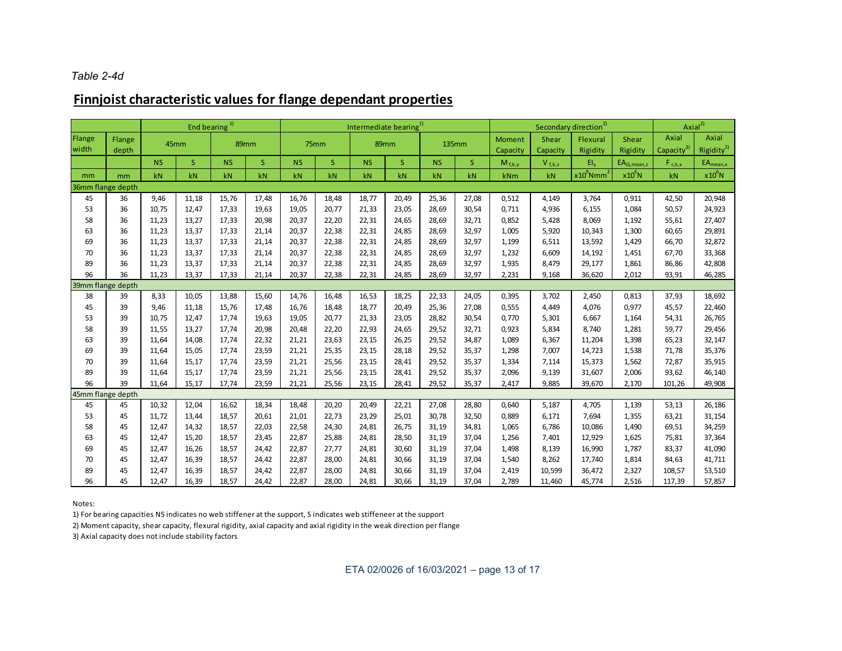#### *Table 2-4d*

## **Finnjoist characteristic values for flange dependant properties**

|                   |                 | End bearing <sup>1)</sup> |                |                |                | Intermediate bearing <sup>1)</sup> |                |                |                |                |                |                    | Secondary direction <sup>2)</sup> | Axial <sup>2</sup>       |                   |                                 |                                 |
|-------------------|-----------------|---------------------------|----------------|----------------|----------------|------------------------------------|----------------|----------------|----------------|----------------|----------------|--------------------|-----------------------------------|--------------------------|-------------------|---------------------------------|---------------------------------|
| Flange<br>width   | Flange<br>depth | 45mm                      |                | 89mm           |                |                                    | 75mm           |                | 89mm           |                | <b>135mm</b>   | Moment<br>Capacity | Shear<br>Capacity                 | Flexural<br>Rigidity     | Shear<br>Rigidity | Axial<br>Capacity <sup>31</sup> | Axial<br>Rigidity <sup>2)</sup> |
|                   |                 | <b>NS</b>                 | <sub>S</sub>   | <b>NS</b>      | S.             | <b>NS</b>                          | <sub>S</sub>   | <b>NS</b>      | S              | <b>NS</b>      | <sub>S</sub>   | $M_{f,k,v}$        | $V_{f,k,z}$                       | $EI_v$                   | $EA_{Q,mean, z}$  | $F_{c,k,x}$                     | $EA_{mean, x}$                  |
| mm                | mm              | kN                        | kN             | kN             | kN             | kN                                 | kN             | kN             | kN             | kN             | kN             | kNm                | kN                                | $x10^9$ Nmm <sup>2</sup> | $x10^6$ N         | kN                              | $x10^6$ N                       |
| 36mm flange depth |                 |                           |                |                |                |                                    |                |                |                |                |                |                    |                                   |                          |                   |                                 |                                 |
| 45                | 36              | 9,46                      | 11,18          | 15,76          | 17,48          | 16,76                              | 18,48          | 18,77          | 20,49          | 25,36          | 27,08          | 0,512              | 4,149                             | 3,764                    | 0,911             | 42,50                           | 20,948                          |
| 53                | 36              | 10,75                     | 12,47          | 17,33          | 19,63          | 19,05                              | 20,77          | 21,33          | 23,05          | 28,69          | 30,54          | 0,711              | 4,936                             | 6,155                    | 1,084             | 50,57                           | 24,923                          |
| 58                | 36              | 11,23                     | 13,27          | 17,33          | 20,98          | 20,37                              | 22,20          | 22,31          | 24,65          | 28,69          | 32,71          | 0,852              | 5,428                             | 8,069                    | 1,192             | 55,61                           | 27,407                          |
| 63                | 36              | 11,23                     | 13,37          | 17,33          | 21,14          | 20,37                              | 22,38          | 22,31          | 24,85          | 28,69          | 32,97          | 1,005              | 5,920                             | 10,343                   | 1,300             | 60,65                           | 29,891                          |
| 69                | 36              | 11,23                     | 13,37          | 17,33          | 21,14          | 20,37                              | 22,38          | 22,31          | 24,85          | 28,69          | 32,97          | 1,199              | 6,511                             | 13,592                   | 1,429             | 66,70                           | 32,872                          |
| 70                | 36              | 11,23                     | 13,37          | 17,33          | 21,14          | 20,37                              | 22,38          | 22,31          | 24,85          | 28,69          | 32,97          | 1,232              | 6,609                             | 14,192                   | 1,451             | 67,70                           | 33,368                          |
| 89                | 36              | 11,23                     | 13,37          | 17,33          | 21,14          | 20,37                              | 22,38          | 22,31          | 24,85          | 28,69          | 32,97          | 1,935              | 8,479                             | 29,177                   | 1,861             | 86,86                           | 42,808                          |
| 96                | 36              | 11,23                     | 13,37          | 17,33          | 21,14          | 20,37                              | 22,38          | 22,31          | 24,85          | 28,69          | 32,97          | 2,231              | 9,168                             | 36,620                   | 2,012             | 93,91                           | 46,285                          |
| 39mm flange depth |                 |                           |                |                |                |                                    |                |                |                |                |                |                    |                                   |                          |                   |                                 |                                 |
| 38                | 39              | 8,33                      | 10,05          | 13,88          | 15,60          | 14,76                              | 16,48          | 16,53          | 18,25          | 22,33          | 24,05          | 0,395              | 3,702                             | 2,450                    | 0,813             | 37,93                           | 18,692                          |
| 45                | 39<br>39        | 9,46<br>10,75             | 11,18<br>12,47 | 15,76<br>17,74 | 17,48<br>19,63 | 16,76<br>19,05                     | 18,48<br>20,77 | 18,77          | 20,49          | 25,36          | 27,08          | 0,555<br>0,770     | 4,449                             | 4,076<br>6,667           | 0,977             | 45,57                           | 22,460                          |
| 53<br>58          | 39              | 11,55                     | 13,27          | 17,74          | 20,98          | 20,48                              | 22,20          | 21,33<br>22,93 | 23,05<br>24,65 | 28,82<br>29,52 | 30,54<br>32,71 | 0,923              | 5,301<br>5,834                    | 8,740                    | 1,164<br>1,281    | 54,31<br>59,77                  | 26,765<br>29,456                |
| 63                | 39              | 11,64                     | 14,08          | 17,74          | 22,32          | 21,21                              | 23,63          | 23,15          | 26,25          | 29,52          | 34,87          | 1,089              | 6,367                             | 11,204                   | 1,398             | 65,23                           | 32,147                          |
| 69                | 39              | 11,64                     | 15,05          | 17,74          | 23,59          | 21,21                              | 25,35          | 23,15          | 28,18          | 29,52          | 35,37          | 1,298              | 7,007                             | 14,723                   | 1,538             | 71,78                           | 35,376                          |
| 70                | 39              | 11,64                     | 15,17          | 17,74          | 23,59          | 21,21                              | 25,56          | 23,15          | 28,41          | 29,52          | 35,37          | 1,334              | 7,114                             | 15,373                   | 1,562             | 72,87                           | 35,915                          |
| 89                | 39              | 11,64                     | 15,17          | 17.74          | 23,59          | 21,21                              | 25,56          | 23,15          | 28,41          | 29,52          | 35,37          | 2,096              | 9,139                             | 31,607                   | 2,006             | 93,62                           | 46,140                          |
| 96                | 39              | 11.64                     | 15,17          | 17,74          | 23,59          | 21,21                              | 25,56          | 23,15          | 28,41          | 29,52          | 35,37          | 2,417              | 9,885                             | 39,670                   | 2,170             | 101,26                          | 49,908                          |
| 45mm flange depth |                 |                           |                |                |                |                                    |                |                |                |                |                |                    |                                   |                          |                   |                                 |                                 |
| 45                | 45              | 10,32                     | 12,04          | 16,62          | 18,34          | 18,48                              | 20,20          | 20,49          | 22,21          | 27,08          | 28,80          | 0,640              | 5,187                             | 4,705                    | 1,139             | 53,13                           | 26,186                          |
| 53                | 45              | 11,72                     | 13,44          | 18,57          | 20,61          | 21,01                              | 22,73          | 23,29          | 25,01          | 30,78          | 32,50          | 0,889              | 6,171                             | 7,694                    | 1,355             | 63,21                           | 31,154                          |
| 58                | 45              | 12,47                     | 14,32          | 18,57          | 22,03          | 22,58                              | 24,30          | 24,81          | 26,75          | 31,19          | 34,81          | 1,065              | 6,786                             | 10,086                   | 1,490             | 69,51                           | 34,259                          |
| 63                | 45              | 12,47                     | 15,20          | 18,57          | 23,45          | 22,87                              | 25,88          | 24,81          | 28,50          | 31,19          | 37,04          | 1,256              | 7,401                             | 12,929                   | 1,625             | 75,81                           | 37,364                          |
| 69                | 45              | 12,47                     | 16,26          | 18,57          | 24,42          | 22,87                              | 27,77          | 24,81          | 30,60          | 31,19          | 37,04          | 1,498              | 8,139                             | 16,990                   | 1,787             | 83,37                           | 41,090                          |
| 70                | 45              | 12,47                     | 16,39          | 18,57          | 24,42          | 22,87                              | 28,00          | 24,81          | 30,66          | 31,19          | 37,04          | 1,540              | 8,262                             | 17,740                   | 1,814             | 84,63                           | 41,711                          |
| 89                | 45              | 12,47                     | 16,39          | 18,57          | 24,42          | 22,87                              | 28,00          | 24,81          | 30,66          | 31,19          | 37,04          | 2,419              | 10,599                            | 36,472                   | 2,327             | 108,57                          | 53,510                          |
| 96                | 45              | 12,47                     | 16,39          | 18,57          | 24,42          | 22,87                              | 28,00          | 24,81          | 30,66          | 31,19          | 37,04          | 2,789              | 11,460                            | 45,774                   | 2,516             | 117,39                          | 57,857                          |

Notes:

1) For bearing capacities NS indicates no web stiffener at the support, S indicates web stiffeneer at the support

2) Moment capacity, shear capacity, flexural rigidity, axial capacity and axial rigidity in the weak direction per flange

3) Axial capacity does not include stability factors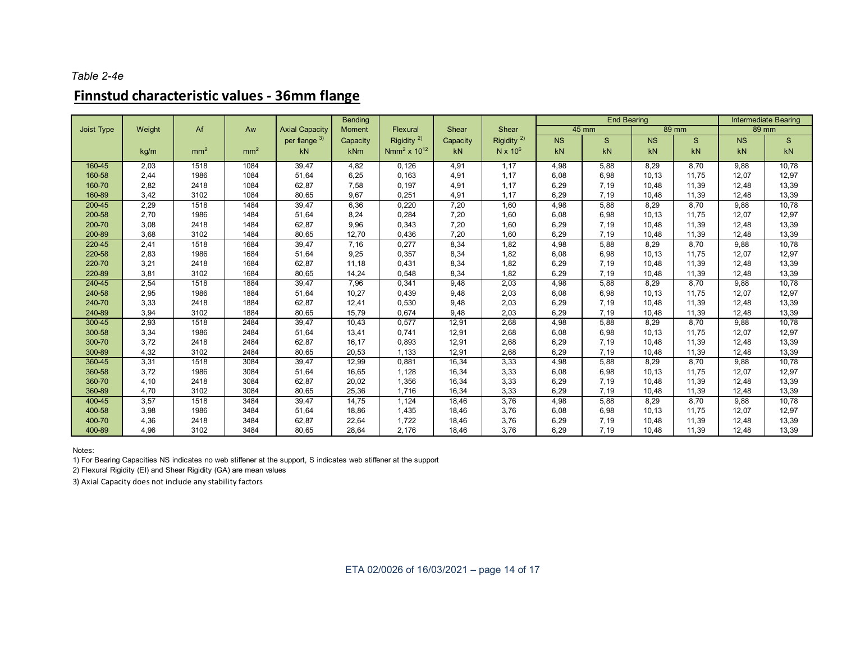#### *Table 2-4e*

## **Finnstud characteristic values - 36mm flange**

|            |        |                 | Aw              | <b>Axial Capacity</b> | <b>Bending</b> |                        | Shear    |                        |           | <b>End Bearing</b> |           | <b>Intermediate Bearing</b> |           |              |
|------------|--------|-----------------|-----------------|-----------------------|----------------|------------------------|----------|------------------------|-----------|--------------------|-----------|-----------------------------|-----------|--------------|
| Joist Type | Weight | Af              |                 |                       | Moment         | Flexural               |          | Shear                  |           | $45 \text{ mm}$    |           | 89 mm                       | 89 mm     |              |
|            |        |                 |                 | per flange 3)         | Capacity       | Rigidity <sup>2)</sup> | Capacity | Rigidity <sup>2)</sup> | <b>NS</b> | S                  | <b>NS</b> | $\mathbf{s}$                | <b>NS</b> | <sub>S</sub> |
|            | kg/m   | mm <sup>2</sup> | mm <sup>2</sup> | kN                    | kNm            | $Nmm^2 \times 10^{12}$ | kN       | $N \times 10^6$        | kN        | kN                 | kN        | kN                          | kN        | kN           |
| 160-45     | 2,03   | 1518            | 1084            | 39,47                 | 4,82           | 0,126                  | 4,91     | 1,17                   | 4,98      | 5,88               | 8,29      | 8,70                        | 9,88      | 10,78        |
| 160-58     | 2,44   | 1986            | 1084            | 51,64                 | 6,25           | 0,163                  | 4,91     | 1,17                   | 6,08      | 6,98               | 10,13     | 11,75                       | 12,07     | 12,97        |
| 160-70     | 2,82   | 2418            | 1084            | 62,87                 | 7,58           | 0,197                  | 4,91     | 1,17                   | 6,29      | 7,19               | 10,48     | 11,39                       | 12,48     | 13,39        |
| 160-89     | 3,42   | 3102            | 1084            | 80,65                 | 9,67           | 0,251                  | 4,91     | 1,17                   | 6,29      | 7,19               | 10,48     | 11,39                       | 12,48     | 13,39        |
| 200-45     | 2,29   | 1518            | 1484            | 39,47                 | 6,36           | 0,220                  | 7,20     | 1,60                   | 4,98      | 5,88               | 8,29      | 8,70                        | 9,88      | 10,78        |
| 200-58     | 2,70   | 1986            | 1484            | 51,64                 | 8,24           | 0,284                  | 7,20     | 1,60                   | 6,08      | 6,98               | 10,13     | 11,75                       | 12,07     | 12,97        |
| 200-70     | 3,08   | 2418            | 1484            | 62,87                 | 9,96           | 0,343                  | 7,20     | 1,60                   | 6,29      | 7,19               | 10,48     | 11,39                       | 12,48     | 13,39        |
| 200-89     | 3,68   | 3102            | 1484            | 80,65                 | 12,70          | 0,436                  | 7,20     | 1,60                   | 6,29      | 7,19               | 10,48     | 11,39                       | 12,48     | 13,39        |
| 220-45     | 2,41   | 1518            | 1684            | 39,47                 | 7,16           | 0,277                  | 8,34     | 1,82                   | 4,98      | 5,88               | 8,29      | 8,70                        | 9,88      | 10,78        |
| 220-58     | 2,83   | 1986            | 1684            | 51,64                 | 9,25           | 0,357                  | 8,34     | 1,82                   | 6,08      | 6,98               | 10, 13    | 11,75                       | 12,07     | 12,97        |
| 220-70     | 3,21   | 2418            | 1684            | 62,87                 | 11,18          | 0,431                  | 8,34     | 1,82                   | 6,29      | 7,19               | 10,48     | 11,39                       | 12,48     | 13,39        |
| 220-89     | 3,81   | 3102            | 1684            | 80,65                 | 14,24          | 0,548                  | 8,34     | 1,82                   | 6,29      | 7,19               | 10,48     | 11,39                       | 12,48     | 13,39        |
| 240-45     | 2,54   | 1518            | 1884            | 39,47                 | 7,96           | 0,341                  | 9,48     | 2,03                   | 4,98      | 5,88               | 8,29      | 8,70                        | 9,88      | 10,78        |
| 240-58     | 2,95   | 1986            | 1884            | 51,64                 | 10,27          | 0,439                  | 9,48     | 2,03                   | 6,08      | 6,98               | 10,13     | 11,75                       | 12,07     | 12,97        |
| 240-70     | 3,33   | 2418            | 1884            | 62,87                 | 12,41          | 0,530                  | 9,48     | 2,03                   | 6,29      | 7,19               | 10,48     | 11,39                       | 12,48     | 13,39        |
| 240-89     | 3,94   | 3102            | 1884            | 80,65                 | 15,79          | 0,674                  | 9,48     | 2,03                   | 6,29      | 7,19               | 10,48     | 11,39                       | 12,48     | 13,39        |
| 300-45     | 2,93   | 1518            | 2484            | 39,47                 | 10,43          | 0,577                  | 12,91    | 2,68                   | 4,98      | 5,88               | 8,29      | 8,70                        | 9,88      | 10,78        |
| 300-58     | 3,34   | 1986            | 2484            | 51,64                 | 13,41          | 0,741                  | 12,91    | 2,68                   | 6,08      | 6,98               | 10,13     | 11,75                       | 12,07     | 12,97        |
| 300-70     | 3,72   | 2418            | 2484            | 62,87                 | 16,17          | 0,893                  | 12,91    | 2,68                   | 6,29      | 7,19               | 10,48     | 11,39                       | 12,48     | 13,39        |
| 300-89     | 4,32   | 3102            | 2484            | 80,65                 | 20,53          | 1,133                  | 12,91    | 2,68                   | 6,29      | 7,19               | 10,48     | 11,39                       | 12,48     | 13,39        |
| 360-45     | 3,31   | 1518            | 3084            | 39,47                 | 12,99          | 0,881                  | 16,34    | 3,33                   | 4,98      | 5,88               | 8,29      | 8,70                        | 9,88      | 10,78        |
| 360-58     | 3,72   | 1986            | 3084            | 51,64                 | 16,65          | 1,128                  | 16,34    | 3,33                   | 6,08      | 6,98               | 10,13     | 11,75                       | 12,07     | 12,97        |
| 360-70     | 4,10   | 2418            | 3084            | 62,87                 | 20,02          | 1,356                  | 16,34    | 3,33                   | 6,29      | 7,19               | 10,48     | 11,39                       | 12,48     | 13,39        |
| 360-89     | 4,70   | 3102            | 3084            | 80,65                 | 25,36          | 1,716                  | 16,34    | 3,33                   | 6,29      | 7,19               | 10,48     | 11,39                       | 12,48     | 13,39        |
| 400-45     | 3,57   | 1518            | 3484            | 39,47                 | 14,75          | 1,124                  | 18,46    | 3,76                   | 4,98      | 5,88               | 8,29      | 8,70                        | 9,88      | 10,78        |
| 400-58     | 3,98   | 1986            | 3484            | 51,64                 | 18,86          | 1,435                  | 18,46    | 3,76                   | 6,08      | 6,98               | 10,13     | 11.75                       | 12,07     | 12,97        |
| 400-70     | 4,36   | 2418            | 3484            | 62,87                 | 22,64          | 1,722                  | 18,46    | 3,76                   | 6,29      | 7,19               | 10,48     | 11,39                       | 12,48     | 13,39        |
| 400-89     | 4,96   | 3102            | 3484            | 80,65                 | 28,64          | 2,176                  | 18,46    | 3,76                   | 6,29      | 7,19               | 10,48     | 11,39                       | 12,48     | 13,39        |

Notes:

1) For Bearing Capacities NS indicates no web stiffener at the support, S indicates web stiffener at the support

2) Flexural Rigidity (EI) and Shear Rigidity (GA) are mean values

3) Axial Capacity does not include any stability factors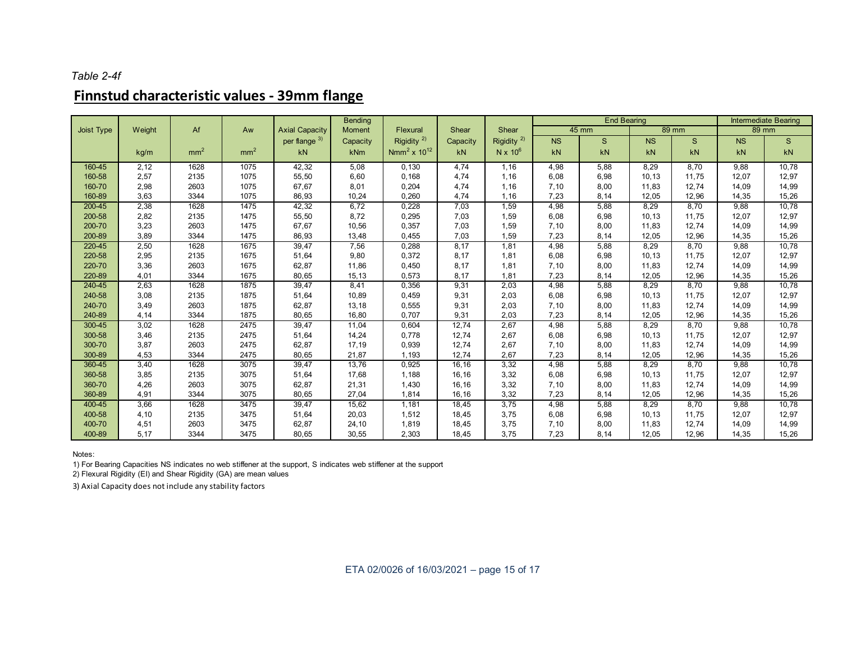#### *Table 2-4f*

# **Finnstud characteristic values - 39mm flange**

|            |        |                 |                 |                       | <b>Bending</b> |                              |          |                        |           | <b>End Bearing</b> | <b>Intermediate Bearing</b> |       |           |              |
|------------|--------|-----------------|-----------------|-----------------------|----------------|------------------------------|----------|------------------------|-----------|--------------------|-----------------------------|-------|-----------|--------------|
| Joist Type | Weight | Af              | Aw              | <b>Axial Capacity</b> | <b>Moment</b>  | Flexural                     | Shear    | Shear                  |           | 45 mm              |                             | 89 mm | 89 mm     |              |
|            |        |                 |                 | per flange 3)         | Capacity       | Rigidity $^{2)}$             | Capacity | Rigidity <sup>2)</sup> | <b>NS</b> | $\mathsf{s}$       | <b>NS</b>                   | S     | <b>NS</b> | $\mathsf{s}$ |
|            | kg/m   | mm <sup>2</sup> | mm <sup>2</sup> | kN                    | kNm            | Nmm <sup>2</sup> x $10^{12}$ | kN       | N x $10^6$             | kN        | kN                 | kN                          | kN    | kN        | kN           |
| 160-45     | 2,12   | 1628            | 1075            | 42,32                 | 5,08           | 0,130                        | 4,74     | 1,16                   | 4,98      | 5,88               | 8,29                        | 8,70  | 9,88      | 10,78        |
| 160-58     | 2,57   | 2135            | 1075            | 55,50                 | 6,60           | 0,168                        | 4,74     | 1,16                   | 6.08      | 6,98               | 10,13                       | 11.75 | 12,07     | 12,97        |
| 160-70     | 2,98   | 2603            | 1075            | 67,67                 | 8,01           | 0,204                        | 4,74     | 1,16                   | 7,10      | 8,00               | 11,83                       | 12,74 | 14,09     | 14,99        |
| 160-89     | 3,63   | 3344            | 1075            | 86,93                 | 10,24          | 0,260                        | 4,74     | 1,16                   | 7,23      | 8,14               | 12,05                       | 12,96 | 14,35     | 15,26        |
| 200-45     | 2,38   | 1628            | 1475            | 42,32                 | 6,72           | 0,228                        | 7,03     | 1,59                   | 4,98      | 5,88               | 8,29                        | 8,70  | 9,88      | 10,78        |
| 200-58     | 2,82   | 2135            | 1475            | 55,50                 | 8,72           | 0,295                        | 7,03     | 1,59                   | 6,08      | 6,98               | 10,13                       | 11.75 | 12,07     | 12,97        |
| 200-70     | 3,23   | 2603            | 1475            | 67,67                 | 10,56          | 0,357                        | 7,03     | 1,59                   | 7,10      | 8,00               | 11,83                       | 12,74 | 14,09     | 14,99        |
| 200-89     | 3,89   | 3344            | 1475            | 86,93                 | 13,48          | 0,455                        | 7,03     | 1,59                   | 7,23      | 8,14               | 12,05                       | 12,96 | 14,35     | 15,26        |
| 220-45     | 2,50   | 1628            | 1675            | 39,47                 | 7,56           | 0,288                        | 8,17     | 1,81                   | 4,98      | 5,88               | 8,29                        | 8,70  | 9,88      | 10,78        |
| 220-58     | 2,95   | 2135            | 1675            | 51,64                 | 9,80           | 0,372                        | 8,17     | 1,81                   | 6,08      | 6,98               | 10,13                       | 11.75 | 12,07     | 12,97        |
| 220-70     | 3,36   | 2603            | 1675            | 62,87                 | 11,86          | 0,450                        | 8,17     | 1,81                   | 7,10      | 8,00               | 11,83                       | 12,74 | 14,09     | 14,99        |
| 220-89     | 4,01   | 3344            | 1675            | 80,65                 | 15,13          | 0,573                        | 8,17     | 1,81                   | 7,23      | 8,14               | 12,05                       | 12,96 | 14,35     | 15,26        |
| 240-45     | 2,63   | 1628            | 1875            | 39,47                 | 8,41           | 0,356                        | 9,31     | 2,03                   | 4,98      | 5,88               | 8,29                        | 8,70  | 9,88      | 10,78        |
| 240-58     | 3,08   | 2135            | 1875            | 51,64                 | 10,89          | 0,459                        | 9,31     | 2,03                   | 6,08      | 6,98               | 10,13                       | 11,75 | 12,07     | 12,97        |
| 240-70     | 3,49   | 2603            | 1875            | 62,87                 | 13,18          | 0,555                        | 9,31     | 2,03                   | 7,10      | 8,00               | 11,83                       | 12,74 | 14,09     | 14,99        |
| 240-89     | 4,14   | 3344            | 1875            | 80,65                 | 16,80          | 0,707                        | 9,31     | 2,03                   | 7,23      | 8,14               | 12,05                       | 12,96 | 14,35     | 15,26        |
| 300-45     | 3,02   | 1628            | 2475            | 39,47                 | 11,04          | 0,604                        | 12,74    | 2,67                   | 4,98      | 5,88               | 8,29                        | 8,70  | 9,88      | 10,78        |
| 300-58     | 3,46   | 2135            | 2475            | 51,64                 | 14,24          | 0.778                        | 12,74    | 2,67                   | 6,08      | 6,98               | 10,13                       | 11.75 | 12,07     | 12,97        |
| 300-70     | 3,87   | 2603            | 2475            | 62,87                 | 17,19          | 0,939                        | 12,74    | 2,67                   | 7,10      | 8,00               | 11,83                       | 12,74 | 14,09     | 14,99        |
| 300-89     | 4,53   | 3344            | 2475            | 80,65                 | 21,87          | 1,193                        | 12,74    | 2,67                   | 7,23      | 8,14               | 12,05                       | 12,96 | 14,35     | 15,26        |
| 360-45     | 3,40   | 1628            | 3075            | 39,47                 | 13,76          | 0,925                        | 16,16    | 3,32                   | 4,98      | 5,88               | 8,29                        | 8,70  | 9,88      | 10,78        |
| 360-58     | 3,85   | 2135            | 3075            | 51,64                 | 17,68          | 1,188                        | 16,16    | 3,32                   | 6,08      | 6,98               | 10,13                       | 11,75 | 12,07     | 12,97        |
| 360-70     | 4,26   | 2603            | 3075            | 62,87                 | 21,31          | 1,430                        | 16,16    | 3,32                   | 7,10      | 8,00               | 11,83                       | 12,74 | 14,09     | 14,99        |
| 360-89     | 4,91   | 3344            | 3075            | 80,65                 | 27,04          | 1,814                        | 16,16    | 3,32                   | 7,23      | 8,14               | 12,05                       | 12,96 | 14,35     | 15,26        |
| 400-45     | 3,66   | 1628            | 3475            | 39,47                 | 15,62          | 1,181                        | 18,45    | 3,75                   | 4,98      | 5,88               | 8,29                        | 8,70  | 9,88      | 10,78        |
| 400-58     | 4,10   | 2135            | 3475            | 51,64                 | 20,03          | 1,512                        | 18,45    | 3,75                   | 6,08      | 6,98               | 10,13                       | 11,75 | 12,07     | 12,97        |
| 400-70     | 4,51   | 2603            | 3475            | 62,87                 | 24,10          | 1,819                        | 18,45    | 3,75                   | 7,10      | 8,00               | 11,83                       | 12,74 | 14,09     | 14,99        |
| 400-89     | 5,17   | 3344            | 3475            | 80,65                 | 30,55          | 2,303                        | 18,45    | 3,75                   | 7,23      | 8,14               | 12,05                       | 12,96 | 14,35     | 15,26        |

Notes:

1) For Bearing Capacities NS indicates no web stiffener at the support, S indicates web stiffener at the support

2) Flexural Rigidity (EI) and Shear Rigidity (GA) are mean values

3) Axial Capacity does not include any stability factors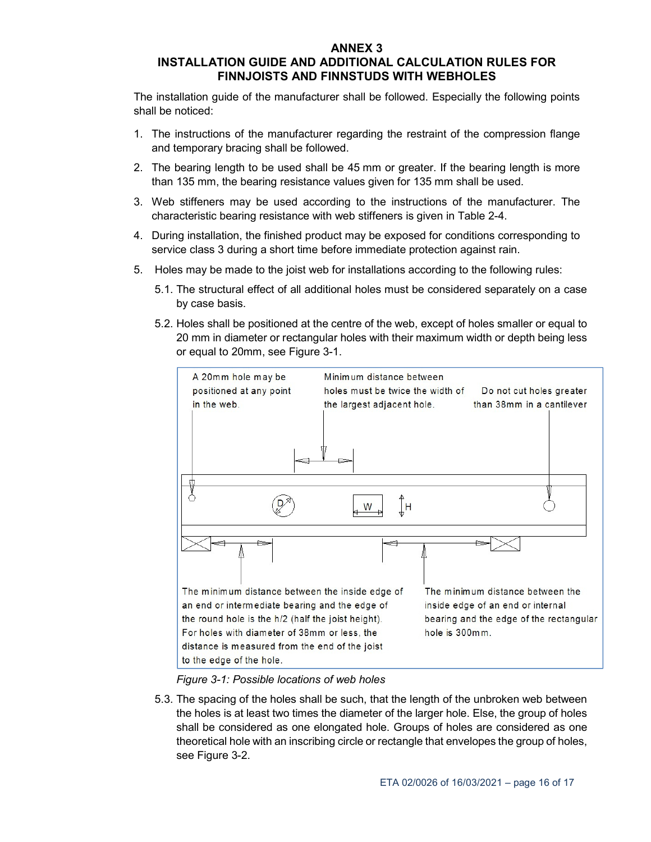#### **ANNEX 3**

### **INSTALLATION GUIDE AND ADDITIONAL CALCULATION RULES FOR FINNJOISTS AND FINNSTUDS WITH WEBHOLES**

The installation guide of the manufacturer shall be followed. Especially the following points shall be noticed:

- 1. The instructions of the manufacturer regarding the restraint of the compression flange and temporary bracing shall be followed.
- 2. The bearing length to be used shall be 45 mm or greater. If the bearing length is more than 135 mm, the bearing resistance values given for 135 mm shall be used.
- 3. Web stiffeners may be used according to the instructions of the manufacturer. The characteristic bearing resistance with web stiffeners is given in Table 2-4.
- 4. During installation, the finished product may be exposed for conditions corresponding to service class 3 during a short time before immediate protection against rain.
- 5. Holes may be made to the joist web for installations according to the following rules:
	- 5.1. The structural effect of all additional holes must be considered separately on a case by case basis.
	- 5.2. Holes shall be positioned at the centre of the web, except of holes smaller or equal to 20 mm in diameter or rectangular holes with their maximum width or depth being less or equal to 20mm, see Figure 3-1.



*Figure 3-1: Possible locations of web holes* 

5.3. The spacing of the holes shall be such, that the length of the unbroken web between the holes is at least two times the diameter of the larger hole. Else, the group of holes shall be considered as one elongated hole. Groups of holes are considered as one theoretical hole with an inscribing circle or rectangle that envelopes the group of holes, see Figure 3-2.